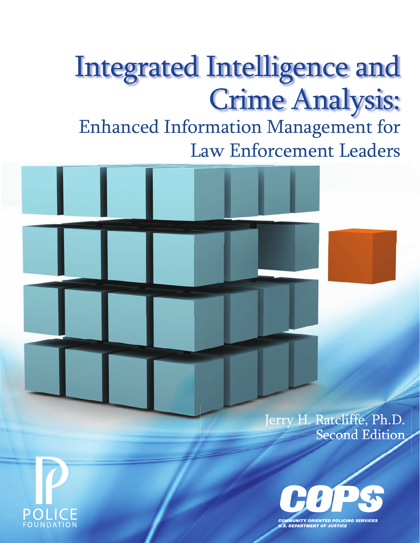# Integrated Intelligence and Crime Analysis:

Enhanced Information Management for Law Enforcement Leaders

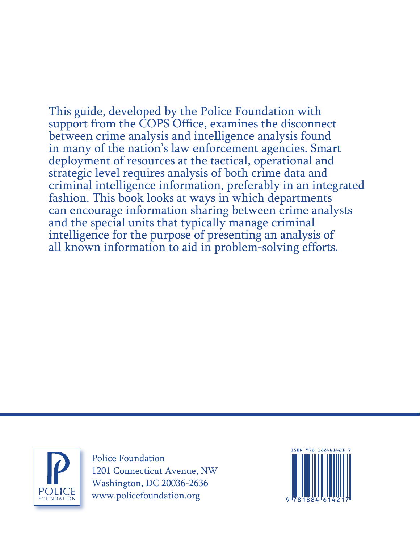This guide, developed by the Police Foundation with support from the COPS Office, examines the disconnect between crime analysis and intelligence analysis found in many of the nation's law enforcement agencies. Smart deployment of resources at the tactical, operational and strategic level requires analysis of both crime data and criminal intelligence information, preferably in an integrated fashion. This book looks at ways in which departments can encourage information sharing between crime analysts and the special units that typically manage criminal intelligence for the purpose of presenting an analysis of all known information to aid in problem-solving efforts.



Police Foundation 1201 Connecticut Avenue, NW Washington, DC 20036-2636 www.policefoundation.org

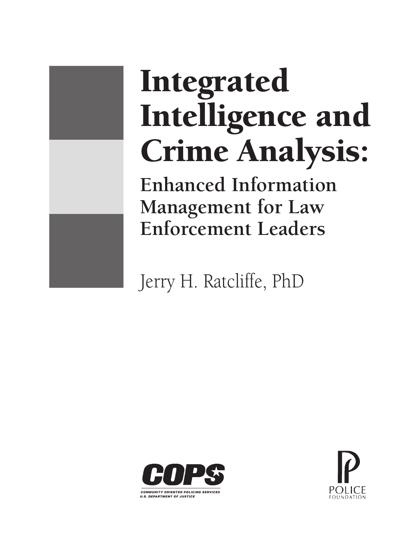# Integrated Intelligence and Crime Analysis: **Enhanced Information Management for Law Enforcement Leaders**

Jerry H. Ratcliffe, PhD



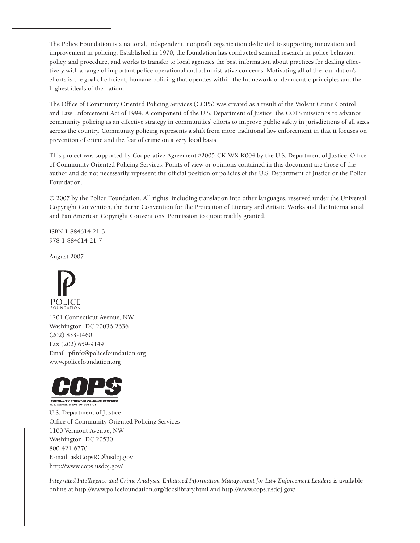The Police Foundation is a national, independent, nonprofit organization dedicated to supporting innovation and improvement in policing. Established in 1970, the foundation has conducted seminal research in police behavior, policy, and procedure, and works to transfer to local agencies the best information about practices for dealing effectively with a range of important police operational and administrative concerns. Motivating all of the foundation's efforts is the goal of efficient, humane policing that operates within the framework of democratic principles and the highest ideals of the nation.

The Office of Community Oriented Policing Services (COPS) was created as a result of the Violent Crime Control and Law Enforcement Act of 1994. A component of the U.S. Department of Justice, the COPS mission is to advance community policing as an effective strategy in communities' efforts to improve public safety in jurisdictions of all sizes across the country. Community policing represents a shift from more traditional law enforcement in that it focuses on prevention of crime and the fear of crime on a very local basis.

This project was supported by Cooperative Agreement #2005-CK-WX-K004 by the U.S. Department of Justice, Office of Community Oriented Policing Services. Points of view or opinions contained in this document are those of the author and do not necessarily represent the official position or policies of the U.S. Department of Justice or the Police Foundation.

© 2007 by the Police Foundation. All rights, including translation into other languages, reserved under the Universal Copyright Convention, the Berne Convention for the Protection of Literary and Artistic Works and the International and Pan American Copyright Conventions. Permission to quote readily granted.

ISBN 1-884614-21-3 978-1-884614-21-7

August 2007



1201 Connecticut Avenue, NW Washington, DC 20036-2636 (202) 833-1460 Fax (202) 659-9149 Email: pfinfo@policefoundation.org www.policefoundation.org



COMMUNITY ORIENTED POLICING SERVICES<br>U.S. DEPARTMENT OF JUSTICE

U.S. Department of Justice Office of Community Oriented Policing Services 1100 Vermont Avenue, NW Washington, DC 20530 800-421-6770 E-mail: askCopsRC@usdoj.gov http://www.cops.usdoj.gov/

*Integrated Intelligence and Crime Analysis: Enhanced Information Management for Law Enforcement Leaders* is available online at http://www.policefoundation.org/docslibrary.html and http://www.cops.usdoj.gov/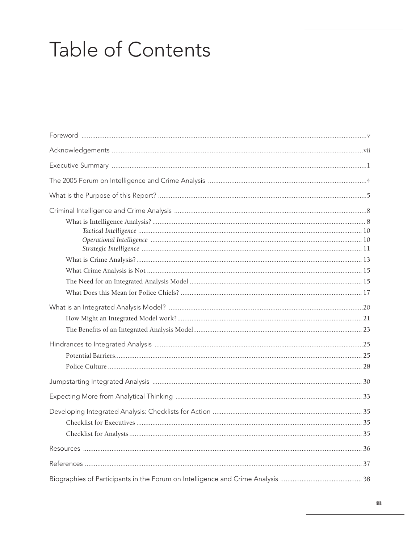# Table of Contents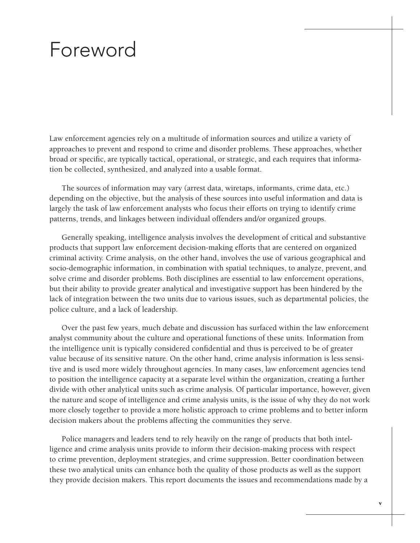### Foreword

Law enforcement agencies rely on a multitude of information sources and utilize a variety of approaches to prevent and respond to crime and disorder problems. These approaches, whether broad or specific, are typically tactical, operational, or strategic, and each requires that information be collected, synthesized, and analyzed into a usable format.

The sources of information may vary (arrest data, wiretaps, informants, crime data, etc.) depending on the objective, but the analysis of these sources into useful information and data is largely the task of law enforcement analysts who focus their efforts on trying to identify crime patterns, trends, and linkages between individual offenders and/or organized groups.

Generally speaking, intelligence analysis involves the development of critical and substantive products that support law enforcement decision-making efforts that are centered on organized criminal activity. Crime analysis, on the other hand, involves the use of various geographical and socio-demographic information, in combination with spatial techniques, to analyze, prevent, and solve crime and disorder problems. Both disciplines are essential to law enforcement operations, but their ability to provide greater analytical and investigative support has been hindered by the lack of integration between the two units due to various issues, such as departmental policies, the police culture, and a lack of leadership.

Over the past few years, much debate and discussion has surfaced within the law enforcement analyst community about the culture and operational functions of these units. Information from the intelligence unit is typically considered confidential and thus is perceived to be of greater value because of its sensitive nature. On the other hand, crime analysis information is less sensitive and is used more widely throughout agencies. In many cases, law enforcement agencies tend to position the intelligence capacity at a separate level within the organization, creating a further divide with other analytical units such as crime analysis. Of particular importance, however, given the nature and scope of intelligence and crime analysis units, is the issue of why they do not work more closely together to provide a more holistic approach to crime problems and to better inform decision makers about the problems affecting the communities they serve.

Police managers and leaders tend to rely heavily on the range of products that both intelligence and crime analysis units provide to inform their decision-making process with respect to crime prevention, deployment strategies, and crime suppression. Better coordination between these two analytical units can enhance both the quality of those products as well as the support they provide decision makers. This report documents the issues and recommendations made by a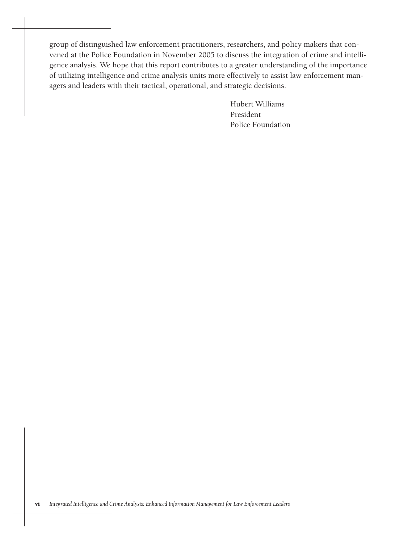group of distinguished law enforcement practitioners, researchers, and policy makers that convened at the Police Foundation in November 2005 to discuss the integration of crime and intelligence analysis. We hope that this report contributes to a greater understanding of the importance of utilizing intelligence and crime analysis units more effectively to assist law enforcement managers and leaders with their tactical, operational, and strategic decisions.

> Hubert Williams President Police Foundation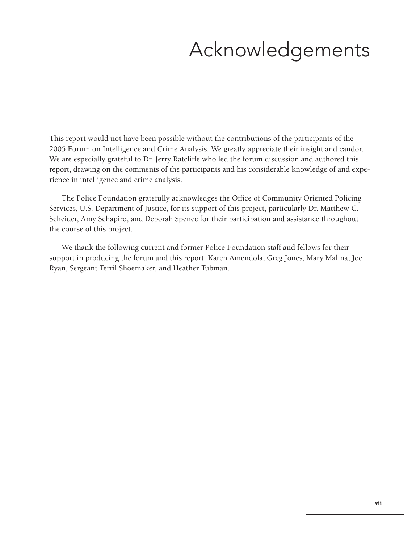## Acknowledgements

This report would not have been possible without the contributions of the participants of the 2005 Forum on Intelligence and Crime Analysis. We greatly appreciate their insight and candor. We are especially grateful to Dr. Jerry Ratcliffe who led the forum discussion and authored this report, drawing on the comments of the participants and his considerable knowledge of and experience in intelligence and crime analysis.

The Police Foundation gratefully acknowledges the Office of Community Oriented Policing Services, U.S. Department of Justice, for its support of this project, particularly Dr. Matthew C. Scheider, Amy Schapiro, and Deborah Spence for their participation and assistance throughout the course of this project.

We thank the following current and former Police Foundation staff and fellows for their support in producing the forum and this report: Karen Amendola, Greg Jones, Mary Malina, Joe Ryan, Sergeant Terril Shoemaker, and Heather Tubman.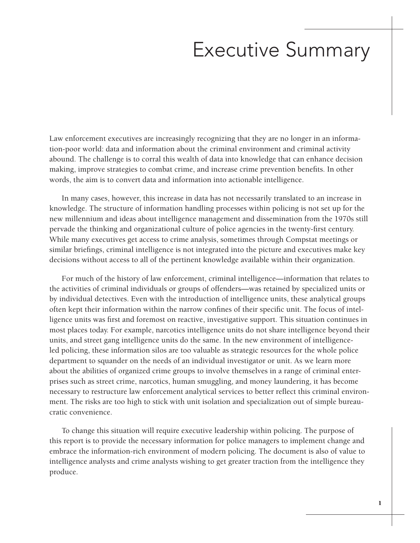### Executive Summary

Law enforcement executives are increasingly recognizing that they are no longer in an information-poor world: data and information about the criminal environment and criminal activity abound. The challenge is to corral this wealth of data into knowledge that can enhance decision making, improve strategies to combat crime, and increase crime prevention benefits. In other words, the aim is to convert data and information into actionable intelligence.

In many cases, however, this increase in data has not necessarily translated to an increase in knowledge. The structure of information handling processes within policing is not set up for the new millennium and ideas about intelligence management and dissemination from the 1970s still pervade the thinking and organizational culture of police agencies in the twenty-first century. While many executives get access to crime analysis, sometimes through Compstat meetings or similar briefings, criminal intelligence is not integrated into the picture and executives make key decisions without access to all of the pertinent knowledge available within their organization.

For much of the history of law enforcement, criminal intelligence—information that relates to the activities of criminal individuals or groups of offenders—was retained by specialized units or by individual detectives. Even with the introduction of intelligence units, these analytical groups often kept their information within the narrow confines of their specific unit. The focus of intelligence units was first and foremost on reactive, investigative support. This situation continues in most places today. For example, narcotics intelligence units do not share intelligence beyond their units, and street gang intelligence units do the same. In the new environment of intelligenceled policing, these information silos are too valuable as strategic resources for the whole police department to squander on the needs of an individual investigator or unit. As we learn more about the abilities of organized crime groups to involve themselves in a range of criminal enterprises such as street crime, narcotics, human smuggling, and money laundering, it has become necessary to restructure law enforcement analytical services to better reflect this criminal environment. The risks are too high to stick with unit isolation and specialization out of simple bureaucratic convenience.

To change this situation will require executive leadership within policing. The purpose of this report is to provide the necessary information for police managers to implement change and embrace the information-rich environment of modern policing. The document is also of value to intelligence analysts and crime analysts wishing to get greater traction from the intelligence they produce.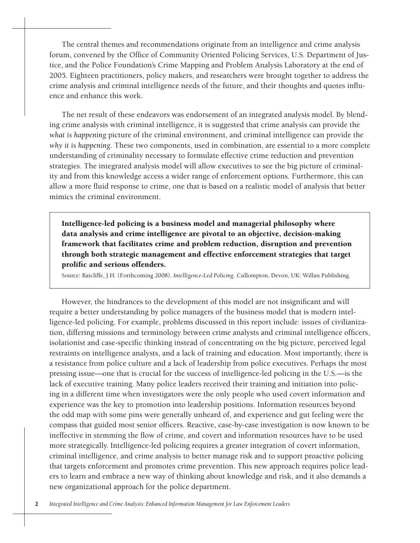The central themes and recommendations originate from an intelligence and crime analysis forum, convened by the Office of Community Oriented Policing Services, U.S. Department of Justice, and the Police Foundation's Crime Mapping and Problem Analysis Laboratory at the end of 2005. Eighteen practitioners, policy makers, and researchers were brought together to address the crime analysis and criminal intelligence needs of the future, and their thoughts and quotes influence and enhance this work.

The net result of these endeavors was endorsement of an integrated analysis model. By blending crime analysis with criminal intelligence, it is suggested that crime analysis can provide the *what is happening* picture of the criminal environment, and criminal intelligence can provide the *why it is happening*. These two components, used in combination, are essential to a more complete understanding of criminality necessary to formulate effective crime reduction and prevention strategies. The integrated analysis model will allow executives to see the big picture of criminality and from this knowledge access a wider range of enforcement options. Furthermore, this can allow a more fluid response to crime, one that is based on a realistic model of analysis that better mimics the criminal environment.

Intelligence-led policing is a business model and managerial philosophy where data analysis and crime intelligence are pivotal to an objective, decision-making framework that facilitates crime and problem reduction, disruption and prevention through both strategic management and effective enforcement strategies that target prolific and serious offenders.

Source: Ratcliffe, J.H. (Forthcoming 2008). *Intelligence-Led Policing*. Cullompton, Devon, UK: Willan Publishing.

However, the hindrances to the development of this model are not insignificant and will require a better understanding by police managers of the business model that is modern intelligence-led policing. For example, problems discussed in this report include: issues of civilianization, differing missions and terminology between crime analysts and criminal intelligence officers, isolationist and case-specific thinking instead of concentrating on the big picture, perceived legal restraints on intelligence analysts, and a lack of training and education. Most importantly, there is a resistance from police culture and a lack of leadership from police executives. Perhaps the most pressing issue—one that is crucial for the success of intelligence-led policing in the U.S.—is the lack of executive training. Many police leaders received their training and initiation into policing in a different time when investigators were the only people who used covert information and experience was the key to promotion into leadership positions. Information resources beyond the odd map with some pins were generally unheard of, and experience and gut feeling were the compass that guided most senior officers. Reactive, case-by-case investigation is now known to be ineffective in stemming the flow of crime, and covert and information resources have to be used more strategically. Intelligence-led policing requires a greater integration of covert information, criminal intelligence, and crime analysis to better manage risk and to support proactive policing that targets enforcement and promotes crime prevention. This new approach requires police leaders to learn and embrace a new way of thinking about knowledge and risk, and it also demands a new organizational approach for the police department.

*Integrated Intelligence and Crime Analysis: Enhanced Information Management for Law Enforcement Leaders*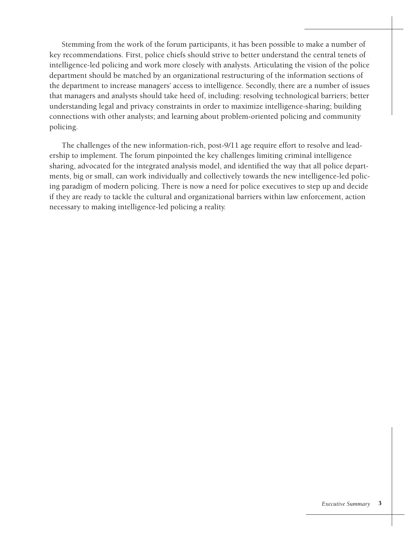Stemming from the work of the forum participants, it has been possible to make a number of key recommendations. First, police chiefs should strive to better understand the central tenets of intelligence-led policing and work more closely with analysts. Articulating the vision of the police department should be matched by an organizational restructuring of the information sections of the department to increase managers' access to intelligence. Secondly, there are a number of issues that managers and analysts should take heed of, including: resolving technological barriers; better understanding legal and privacy constraints in order to maximize intelligence-sharing; building connections with other analysts; and learning about problem-oriented policing and community policing.

The challenges of the new information-rich, post-9/11 age require effort to resolve and leadership to implement. The forum pinpointed the key challenges limiting criminal intelligence sharing, advocated for the integrated analysis model, and identified the way that all police departments, big or small, can work individually and collectively towards the new intelligence-led policing paradigm of modern policing. There is now a need for police executives to step up and decide if they are ready to tackle the cultural and organizational barriers within law enforcement, action necessary to making intelligence-led policing a reality.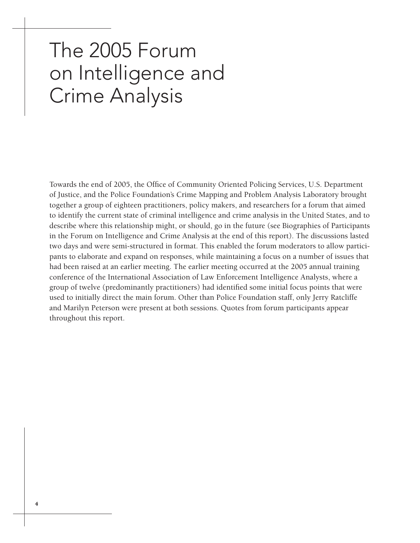## The 2005 Forum on Intelligence and Crime Analysis

Towards the end of 2005, the Office of Community Oriented Policing Services, U.S. Department of Justice, and the Police Foundation's Crime Mapping and Problem Analysis Laboratory brought together a group of eighteen practitioners, policy makers, and researchers for a forum that aimed to identify the current state of criminal intelligence and crime analysis in the United States, and to describe where this relationship might, or should, go in the future (see Biographies of Participants in the Forum on Intelligence and Crime Analysis at the end of this report). The discussions lasted two days and were semi-structured in format. This enabled the forum moderators to allow participants to elaborate and expand on responses, while maintaining a focus on a number of issues that had been raised at an earlier meeting. The earlier meeting occurred at the 2005 annual training conference of the International Association of Law Enforcement Intelligence Analysts, where a group of twelve (predominantly practitioners) had identified some initial focus points that were used to initially direct the main forum. Other than Police Foundation staff, only Jerry Ratcliffe and Marilyn Peterson were present at both sessions. Quotes from forum participants appear throughout this report.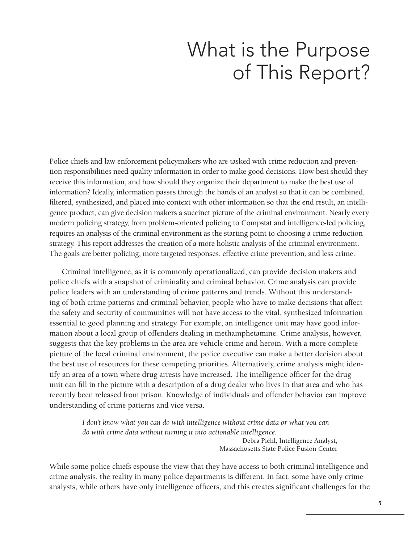### What is the Purpose of This Report?

Police chiefs and law enforcement policymakers who are tasked with crime reduction and prevention responsibilities need quality information in order to make good decisions. How best should they receive this information, and how should they organize their department to make the best use of information? Ideally, information passes through the hands of an analyst so that it can be combined, filtered, synthesized, and placed into context with other information so that the end result, an intelligence product, can give decision makers a succinct picture of the criminal environment. Nearly every modern policing strategy, from problem-oriented policing to Compstat and intelligence-led policing, requires an analysis of the criminal environment as the starting point to choosing a crime reduction strategy. This report addresses the creation of a more holistic analysis of the criminal environment. The goals are better policing, more targeted responses, effective crime prevention, and less crime.

Criminal intelligence, as it is commonly operationalized, can provide decision makers and police chiefs with a snapshot of criminality and criminal behavior. Crime analysis can provide police leaders with an understanding of crime patterns and trends. Without this understanding of both crime patterns and criminal behavior, people who have to make decisions that affect the safety and security of communities will not have access to the vital, synthesized information essential to good planning and strategy. For example, an intelligence unit may have good information about a local group of offenders dealing in methamphetamine. Crime analysis, however, suggests that the key problems in the area are vehicle crime and heroin. With a more complete picture of the local criminal environment, the police executive can make a better decision about the best use of resources for these competing priorities. Alternatively, crime analysis might identify an area of a town where drug arrests have increased. The intelligence officer for the drug unit can fill in the picture with a description of a drug dealer who lives in that area and who has recently been released from prison. Knowledge of individuals and offender behavior can improve understanding of crime patterns and vice versa.

> *I don't know what you can do with intelligence without crime data or what you can do with crime data without turning it into actionable intelligence.* Debra Piehl, Intelligence Analyst, Massachusetts State Police Fusion Center

While some police chiefs espouse the view that they have access to both criminal intelligence and crime analysis, the reality in many police departments is different. In fact, some have only crime analysts, while others have only intelligence officers, and this creates significant challenges for the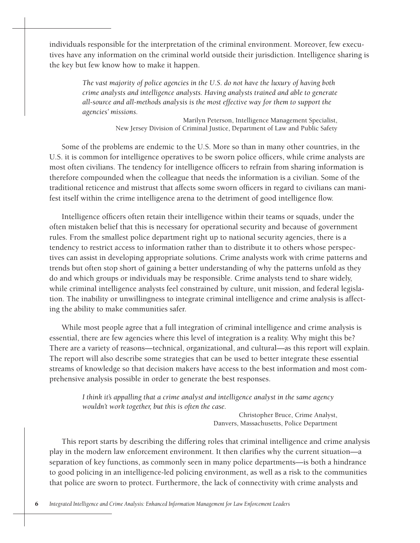individuals responsible for the interpretation of the criminal environment. Moreover, few executives have any information on the criminal world outside their jurisdiction. Intelligence sharing is the key but few know how to make it happen.

> *The vast majority of police agencies in the U.S. do not have the luxury of having both crime analysts and intelligence analysts. Having analysts trained and able to generate all-source and all-methods analysis is the most effective way for them to support the agencies' missions.*

> > Marilyn Peterson, Intelligence Management Specialist, New Jersey Division of Criminal Justice, Department of Law and Public Safety

Some of the problems are endemic to the U.S. More so than in many other countries, in the U.S. it is common for intelligence operatives to be sworn police officers, while crime analysts are most often civilians. The tendency for intelligence officers to refrain from sharing information is therefore compounded when the colleague that needs the information is a civilian. Some of the traditional reticence and mistrust that affects some sworn officers in regard to civilians can manifest itself within the crime intelligence arena to the detriment of good intelligence flow.

Intelligence officers often retain their intelligence within their teams or squads, under the often mistaken belief that this is necessary for operational security and because of government rules. From the smallest police department right up to national security agencies, there is a tendency to restrict access to information rather than to distribute it to others whose perspectives can assist in developing appropriate solutions. Crime analysts work with crime patterns and trends but often stop short of gaining a better understanding of why the patterns unfold as they do and which groups or individuals may be responsible. Crime analysts tend to share widely, while criminal intelligence analysts feel constrained by culture, unit mission, and federal legislation. The inability or unwillingness to integrate criminal intelligence and crime analysis is affecting the ability to make communities safer.

While most people agree that a full integration of criminal intelligence and crime analysis is essential, there are few agencies where this level of integration is a reality. Why might this be? There are a variety of reasons—technical, organizational, and cultural—as this report will explain. The report will also describe some strategies that can be used to better integrate these essential streams of knowledge so that decision makers have access to the best information and most comprehensive analysis possible in order to generate the best responses.

> *I think it's appalling that a crime analyst and intelligence analyst in the same agency wouldn't work together, but this is often the case.*

> > Christopher Bruce, Crime Analyst, Danvers, Massachusetts, Police Department

This report starts by describing the differing roles that criminal intelligence and crime analysis play in the modern law enforcement environment. It then clarifies why the current situation—a separation of key functions, as commonly seen in many police departments—is both a hindrance to good policing in an intelligence-led policing environment, as well as a risk to the communities that police are sworn to protect. Furthermore, the lack of connectivity with crime analysts and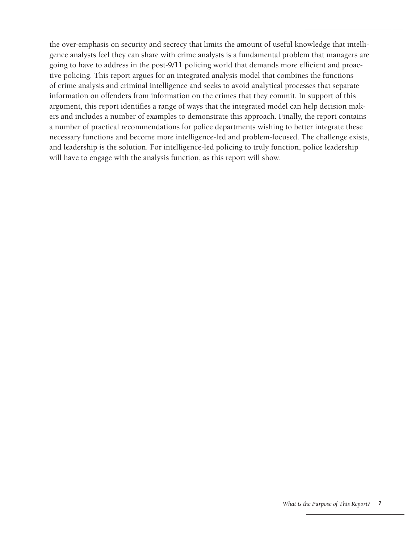the over-emphasis on security and secrecy that limits the amount of useful knowledge that intelligence analysts feel they can share with crime analysts is a fundamental problem that managers are going to have to address in the post-9/11 policing world that demands more efficient and proactive policing. This report argues for an integrated analysis model that combines the functions of crime analysis and criminal intelligence and seeks to avoid analytical processes that separate information on offenders from information on the crimes that they commit. In support of this argument, this report identifies a range of ways that the integrated model can help decision makers and includes a number of examples to demonstrate this approach. Finally, the report contains a number of practical recommendations for police departments wishing to better integrate these necessary functions and become more intelligence-led and problem-focused. The challenge exists, and leadership is the solution. For intelligence-led policing to truly function, police leadership will have to engage with the analysis function, as this report will show.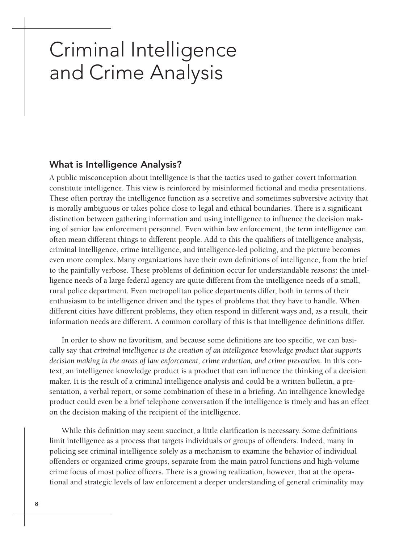### Criminal Intelligence and Crime Analysis

#### What is Intelligence Analysis?

A public misconception about intelligence is that the tactics used to gather covert information constitute intelligence. This view is reinforced by misinformed fictional and media presentations. These often portray the intelligence function as a secretive and sometimes subversive activity that is morally ambiguous or takes police close to legal and ethical boundaries. There is a significant distinction between gathering information and using intelligence to influence the decision making of senior law enforcement personnel. Even within law enforcement, the term intelligence can often mean different things to different people. Add to this the qualifiers of intelligence analysis, criminal intelligence, crime intelligence, and intelligence-led policing, and the picture becomes even more complex. Many organizations have their own definitions of intelligence, from the brief to the painfully verbose. These problems of definition occur for understandable reasons: the intelligence needs of a large federal agency are quite different from the intelligence needs of a small, rural police department. Even metropolitan police departments differ, both in terms of their enthusiasm to be intelligence driven and the types of problems that they have to handle. When different cities have different problems, they often respond in different ways and, as a result, their information needs are different. A common corollary of this is that intelligence definitions differ.

In order to show no favoritism, and because some definitions are too specific, we can basically say that *criminal intelligence is the creation of an intelligence knowledge product that supports decision making in the areas of law enforcement, crime reduction, and crime prevention*. In this context, an intelligence knowledge product is a product that can influence the thinking of a decision maker. It is the result of a criminal intelligence analysis and could be a written bulletin, a presentation, a verbal report, or some combination of these in a briefing. An intelligence knowledge product could even be a brief telephone conversation if the intelligence is timely and has an effect on the decision making of the recipient of the intelligence.

While this definition may seem succinct, a little clarification is necessary. Some definitions limit intelligence as a process that targets individuals or groups of offenders. Indeed, many in policing see criminal intelligence solely as a mechanism to examine the behavior of individual offenders or organized crime groups, separate from the main patrol functions and high-volume crime focus of most police officers. There is a growing realization, however, that at the operational and strategic levels of law enforcement a deeper understanding of general criminality may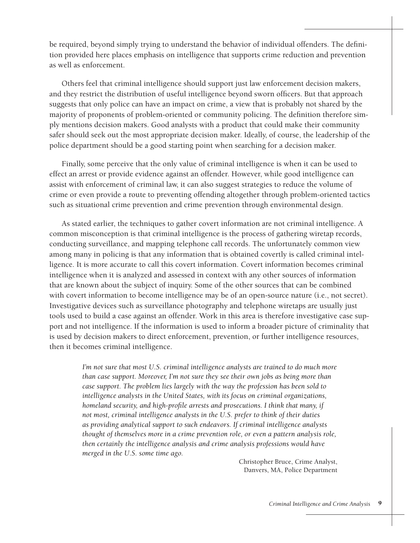be required, beyond simply trying to understand the behavior of individual offenders. The definition provided here places emphasis on intelligence that supports crime reduction and prevention as well as enforcement.

Others feel that criminal intelligence should support just law enforcement decision makers, and they restrict the distribution of useful intelligence beyond sworn officers. But that approach suggests that only police can have an impact on crime, a view that is probably not shared by the majority of proponents of problem-oriented or community policing. The definition therefore simply mentions decision makers. Good analysts with a product that could make their community safer should seek out the most appropriate decision maker. Ideally, of course, the leadership of the police department should be a good starting point when searching for a decision maker.

Finally, some perceive that the only value of criminal intelligence is when it can be used to effect an arrest or provide evidence against an offender. However, while good intelligence can assist with enforcement of criminal law, it can also suggest strategies to reduce the volume of crime or even provide a route to preventing offending altogether through problem-oriented tactics such as situational crime prevention and crime prevention through environmental design.

As stated earlier, the techniques to gather covert information are not criminal intelligence. A common misconception is that criminal intelligence is the process of gathering wiretap records, conducting surveillance, and mapping telephone call records. The unfortunately common view among many in policing is that any information that is obtained covertly is called criminal intelligence. It is more accurate to call this covert information. Covert information becomes criminal intelligence when it is analyzed and assessed in context with any other sources of information that are known about the subject of inquiry. Some of the other sources that can be combined with covert information to become intelligence may be of an open-source nature (i.e., not secret). Investigative devices such as surveillance photography and telephone wiretaps are usually just tools used to build a case against an offender. Work in this area is therefore investigative case support and not intelligence. If the information is used to inform a broader picture of criminality that is used by decision makers to direct enforcement, prevention, or further intelligence resources, then it becomes criminal intelligence.

> *I'm not sure that most U.S. criminal intelligence analysts are trained to do much more than case support. Moreover, I'm not sure they see their own jobs as being more than case support. The problem lies largely with the way the profession has been sold to intelligence analysts in the United States, with its focus on criminal organizations, homeland security, and high-profile arrests and prosecutions. I think that many, if not most, criminal intelligence analysts in the U.S. prefer to think of their duties as providing analytical support to such endeavors. If criminal intelligence analysts thought of themselves more in a crime prevention role, or even a pattern analysis role, then certainly the intelligence analysis and crime analysis professions would have merged in the U.S. some time ago.*

> > Christopher Bruce, Crime Analyst, Danvers, MA, Police Department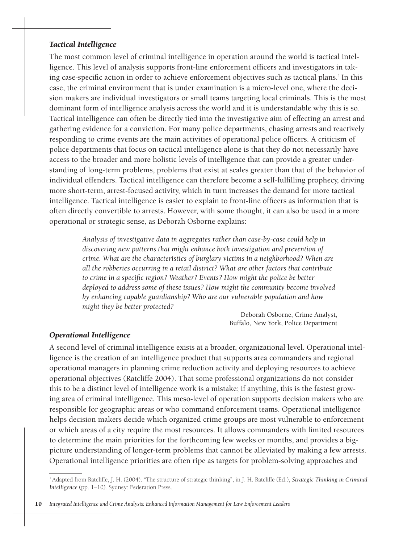#### *Tactical Intelligence*

The most common level of criminal intelligence in operation around the world is tactical intelligence. This level of analysis supports front-line enforcement officers and investigators in taking case-specific action in order to achieve enforcement objectives such as tactical plans.<sup>1</sup> In this case, the criminal environment that is under examination is a micro-level one, where the decision makers are individual investigators or small teams targeting local criminals. This is the most dominant form of intelligence analysis across the world and it is understandable why this is so. Tactical intelligence can often be directly tied into the investigative aim of effecting an arrest and gathering evidence for a conviction. For many police departments, chasing arrests and reactively responding to crime events are the main activities of operational police officers. A criticism of police departments that focus on tactical intelligence alone is that they do not necessarily have access to the broader and more holistic levels of intelligence that can provide a greater understanding of long-term problems, problems that exist at scales greater than that of the behavior of individual offenders. Tactical intelligence can therefore become a self-fulfilling prophecy, driving more short-term, arrest-focused activity, which in turn increases the demand for more tactical intelligence. Tactical intelligence is easier to explain to front-line officers as information that is often directly convertible to arrests. However, with some thought, it can also be used in a more operational or strategic sense, as Deborah Osborne explains:

> *Analysis of investigative data in aggregates rather than case-by-case could help in discovering new patterns that might enhance both investigation and prevention of crime. What are the characteristics of burglary victims in a neighborhood? When are all the robberies occurring in a retail district? What are other factors that contribute to crime in a specific region? Weather? Events? How might the police be better deployed to address some of these issues? How might the community become involved by enhancing capable guardianship? Who are our vulnerable population and how might they be better protected?*

> > Deborah Osborne, Crime Analyst, Buffalo, New York, Police Department

#### *Operational Intelligence*

A second level of criminal intelligence exists at a broader, organizational level. Operational intelligence is the creation of an intelligence product that supports area commanders and regional operational managers in planning crime reduction activity and deploying resources to achieve operational objectives (Ratcliffe 2004). That some professional organizations do not consider this to be a distinct level of intelligence work is a mistake; if anything, this is the fastest growing area of criminal intelligence. This meso-level of operation supports decision makers who are responsible for geographic areas or who command enforcement teams. Operational intelligence helps decision makers decide which organized crime groups are most vulnerable to enforcement or which areas of a city require the most resources. It allows commanders with limited resources to determine the main priorities for the forthcoming few weeks or months, and provides a bigpicture understanding of longer-term problems that cannot be alleviated by making a few arrests. Operational intelligence priorities are often ripe as targets for problem-solving approaches and

<sup>1</sup> Adapted from Ratcliffe, J. H. (2004). "The structure of strategic thinking", in J. H. Ratcliffe (Ed.), *Strategic Thinking in Criminal Intelligence* (pp. 1–10). Sydney: Federation Press.

<sup>10</sup> *Integrated Intelligence and Crime Analysis: Enhanced Information Management for Law Enforcement Leaders*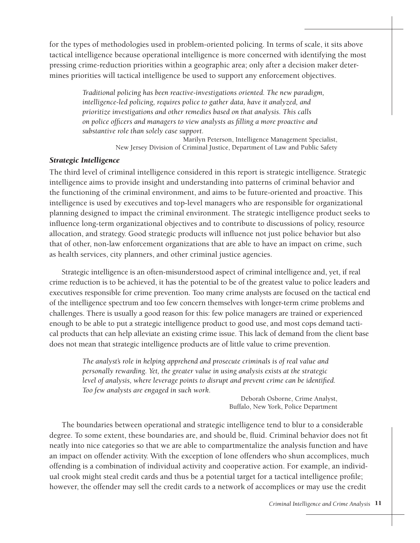for the types of methodologies used in problem-oriented policing. In terms of scale, it sits above tactical intelligence because operational intelligence is more concerned with identifying the most pressing crime-reduction priorities within a geographic area; only after a decision maker determines priorities will tactical intelligence be used to support any enforcement objectives.

> *Traditional policing has been reactive-investigations oriented. The new paradigm, intelligence-led policing, requires police to gather data, have it analyzed, and prioritize investigations and other remedies based on that analysis. This calls on police officers and managers to view analysts as filling a more proactive and substantive role than solely case support.*

> > Marilyn Peterson, Intelligence Management Specialist, New Jersey Division of Criminal Justice, Department of Law and Public Safety

#### *Strategic Intelligence*

The third level of criminal intelligence considered in this report is strategic intelligence. Strategic intelligence aims to provide insight and understanding into patterns of criminal behavior and the functioning of the criminal environment, and aims to be future-oriented and proactive. This intelligence is used by executives and top-level managers who are responsible for organizational planning designed to impact the criminal environment. The strategic intelligence product seeks to influence long-term organizational objectives and to contribute to discussions of policy, resource allocation, and strategy. Good strategic products will influence not just police behavior but also that of other, non-law enforcement organizations that are able to have an impact on crime, such as health services, city planners, and other criminal justice agencies.

Strategic intelligence is an often-misunderstood aspect of criminal intelligence and, yet, if real crime reduction is to be achieved, it has the potential to be of the greatest value to police leaders and executives responsible for crime prevention. Too many crime analysts are focused on the tactical end of the intelligence spectrum and too few concern themselves with longer-term crime problems and challenges. There is usually a good reason for this: few police managers are trained or experienced enough to be able to put a strategic intelligence product to good use, and most cops demand tactical products that can help alleviate an existing crime issue. This lack of demand from the client base does not mean that strategic intelligence products are of little value to crime prevention.

> *The analyst's role in helping apprehend and prosecute criminals is of real value and personally rewarding. Yet, the greater value in using analysis exists at the strategic level of analysis, where leverage points to disrupt and prevent crime can be identified. Too few analysts are engaged in such work.*

> > Deborah Osborne, Crime Analyst, Buffalo, New York, Police Department

The boundaries between operational and strategic intelligence tend to blur to a considerable degree. To some extent, these boundaries are, and should be, fluid. Criminal behavior does not fit neatly into nice categories so that we are able to compartmentalize the analysis function and have an impact on offender activity. With the exception of lone offenders who shun accomplices, much offending is a combination of individual activity and cooperative action. For example, an individual crook might steal credit cards and thus be a potential target for a tactical intelligence profile; however, the offender may sell the credit cards to a network of accomplices or may use the credit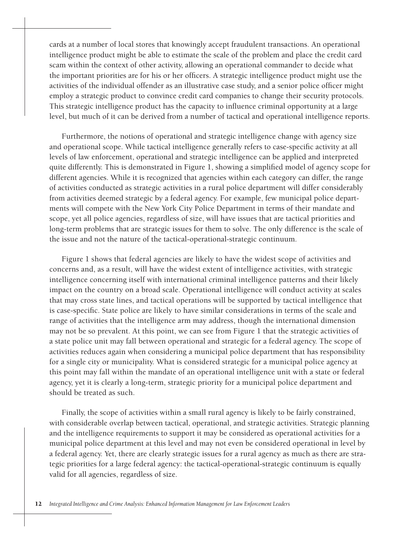cards at a number of local stores that knowingly accept fraudulent transactions. An operational intelligence product might be able to estimate the scale of the problem and place the credit card scam within the context of other activity, allowing an operational commander to decide what the important priorities are for his or her officers. A strategic intelligence product might use the activities of the individual offender as an illustrative case study, and a senior police officer might employ a strategic product to convince credit card companies to change their security protocols. This strategic intelligence product has the capacity to influence criminal opportunity at a large level, but much of it can be derived from a number of tactical and operational intelligence reports.

Furthermore, the notions of operational and strategic intelligence change with agency size and operational scope. While tactical intelligence generally refers to case-specific activity at all levels of law enforcement, operational and strategic intelligence can be applied and interpreted quite differently. This is demonstrated in Figure 1, showing a simplified model of agency scope for different agencies. While it is recognized that agencies within each category can differ, the range of activities conducted as strategic activities in a rural police department will differ considerably from activities deemed strategic by a federal agency. For example, few municipal police departments will compete with the New York City Police Department in terms of their mandate and scope, yet all police agencies, regardless of size, will have issues that are tactical priorities and long-term problems that are strategic issues for them to solve. The only difference is the scale of the issue and not the nature of the tactical-operational-strategic continuum.

Figure 1 shows that federal agencies are likely to have the widest scope of activities and concerns and, as a result, will have the widest extent of intelligence activities, with strategic intelligence concerning itself with international criminal intelligence patterns and their likely impact on the country on a broad scale. Operational intelligence will conduct activity at scales that may cross state lines, and tactical operations will be supported by tactical intelligence that is case-specific. State police are likely to have similar considerations in terms of the scale and range of activities that the intelligence arm may address, though the international dimension may not be so prevalent. At this point, we can see from Figure 1 that the strategic activities of a state police unit may fall between operational and strategic for a federal agency. The scope of activities reduces again when considering a municipal police department that has responsibility for a single city or municipality. What is considered strategic for a municipal police agency at this point may fall within the mandate of an operational intelligence unit with a state or federal agency, yet it is clearly a long-term, strategic priority for a municipal police department and should be treated as such.

Finally, the scope of activities within a small rural agency is likely to be fairly constrained, with considerable overlap between tactical, operational, and strategic activities. Strategic planning and the intelligence requirements to support it may be considered as operational activities for a municipal police department at this level and may not even be considered operational in level by a federal agency. Yet, there are clearly strategic issues for a rural agency as much as there are strategic priorities for a large federal agency: the tactical-operational-strategic continuum is equally valid for all agencies, regardless of size.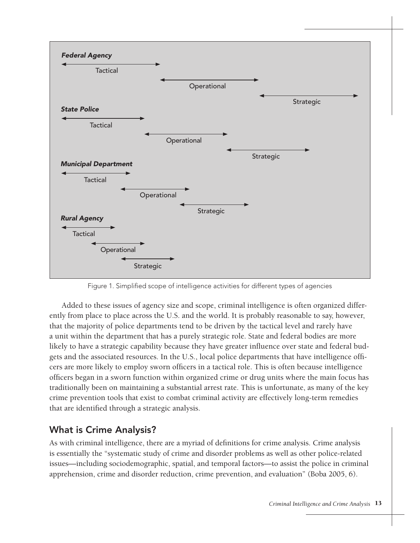

Figure 1. Simplified scope of intelligence activities for different types of agencies

Added to these issues of agency size and scope, criminal intelligence is often organized differently from place to place across the U.S. and the world. It is probably reasonable to say, however, that the majority of police departments tend to be driven by the tactical level and rarely have a unit within the department that has a purely strategic role. State and federal bodies are more likely to have a strategic capability because they have greater influence over state and federal budgets and the associated resources. In the U.S., local police departments that have intelligence officers are more likely to employ sworn officers in a tactical role. This is often because intelligence officers began in a sworn function within organized crime or drug units where the main focus has traditionally been on maintaining a substantial arrest rate. This is unfortunate, as many of the key crime prevention tools that exist to combat criminal activity are effectively long-term remedies that are identified through a strategic analysis.

#### What is Crime Analysis?

As with criminal intelligence, there are a myriad of definitions for crime analysis. Crime analysis is essentially the "systematic study of crime and disorder problems as well as other police-related issues—including sociodemographic, spatial, and temporal factors—to assist the police in criminal apprehension, crime and disorder reduction, crime prevention, and evaluation" (Boba 2005, 6).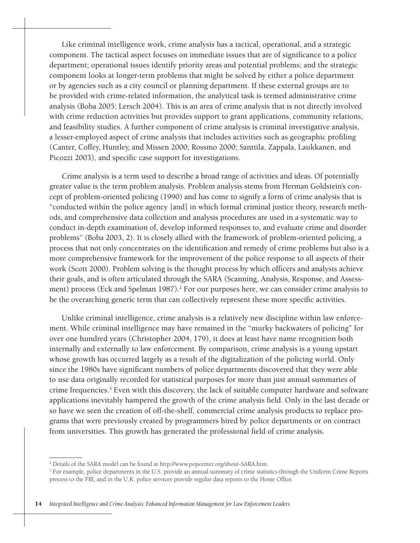Like criminal intelligence work, crime analysis has a tactical, operational, and a strategic component. The tactical aspect focuses on immediate issues that are of significance to a police department; operational issues identify priority areas and potential problems; and the strategic component looks at longer-term problems that might be solved by either a police department or by agencies such as a city council or planning department. If these external groups are to be provided with crime-related information, the analytical task is termed administrative crime analysis (Boba 2005; Lersch 2004). This is an area of crime analysis that is not directly involved with crime reduction activities but provides support to grant applications, community relations, and feasibility studies. A further component of crime analysis is criminal investigative analysis, a lesser-employed aspect of crime analysis that includes activities such as geographic profiling (Canter, Coffey, Huntley, and Missen 2000; Rossmo 2000; Santtila, Zappala, Laukkanen, and Picozzi 2003), and specific case support for investigations.

Crime analysis is a term used to describe a broad range of activities and ideas. Of potentially greater value is the term problem analysis. Problem analysis stems from Herman Goldstein's concept of problem-oriented policing (1990) and has come to signify a form of crime analysis that is "conducted within the police agency [and] in which formal criminal justice theory, research methods, and comprehensive data collection and analysis procedures are used in a systematic way to conduct in-depth examination of, develop informed responses to, and evaluate crime and disorder problems" (Boba 2003, 2). It is closely allied with the framework of problem-oriented policing, a process that not only concentrates on the identification and remedy of crime problems but also is a more comprehensive framework for the improvement of the police response to all aspects of their work (Scott 2000). Problem solving is the thought process by which officers and analysts achieve their goals, and is often articulated through the SARA (Scanning, Analysis, Response, and Assessment) process (Eck and Spelman 1987).<sup>2</sup> For our purposes here, we can consider crime analysis to be the overarching generic term that can collectively represent these more specific activities.

Unlike criminal intelligence, crime analysis is a relatively new discipline within law enforcement. While criminal intelligence may have remained in the "murky backwaters of policing" for over one hundred years (Christopher 2004, 179), it does at least have name recognition both internally and externally to law enforcement. By comparison, crime analysis is a young upstart whose growth has occurred largely as a result of the digitalization of the policing world. Only since the 1980s have significant numbers of police departments discovered that they were able to use data originally recorded for statistical purposes for more than just annual summaries of crime frequencies.<sup>3</sup> Even with this discovery, the lack of suitable computer hardware and software applications inevitably hampered the growth of the crime analysis field. Only in the last decade or so have we seen the creation of off-the-shelf, commercial crime analysis products to replace programs that were previously created by programmers hired by police departments or on contract from universities. This growth has generated the professional field of crime analysis.

<sup>2</sup> Details of the SARA model can be found at http://www.popcenter.org/about-SARA.htm.

<sup>&</sup>lt;sup>3</sup> For example, police departments in the U.S. provide an annual summary of crime statistics through the Uniform Crime Reports process to the FBI, and in the U.K. police services provide regular data reports to the Home Office.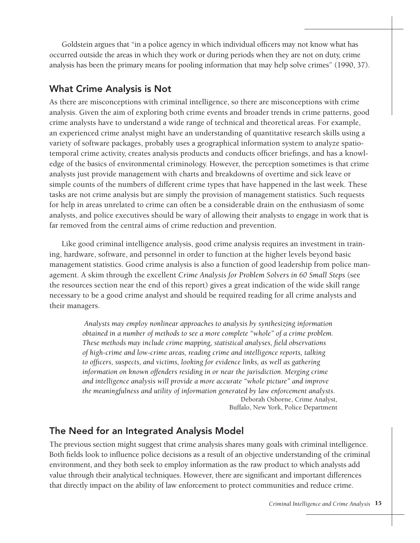Goldstein argues that "in a police agency in which individual officers may not know what has occurred outside the areas in which they work or during periods when they are not on duty, crime analysis has been the primary means for pooling information that may help solve crimes" (1990, 37).

#### What Crime Analysis is Not

As there are misconceptions with criminal intelligence, so there are misconceptions with crime analysis. Given the aim of exploring both crime events and broader trends in crime patterns, good crime analysts have to understand a wide range of technical and theoretical areas. For example, an experienced crime analyst might have an understanding of quantitative research skills using a variety of software packages, probably uses a geographical information system to analyze spatiotemporal crime activity, creates analysis products and conducts officer briefings, and has a knowledge of the basics of environmental criminology. However, the perception sometimes is that crime analysts just provide management with charts and breakdowns of overtime and sick leave or simple counts of the numbers of different crime types that have happened in the last week. These tasks are not crime analysis but are simply the provision of management statistics. Such requests for help in areas unrelated to crime can often be a considerable drain on the enthusiasm of some analysts, and police executives should be wary of allowing their analysts to engage in work that is far removed from the central aims of crime reduction and prevention.

Like good criminal intelligence analysis, good crime analysis requires an investment in training, hardware, software, and personnel in order to function at the higher levels beyond basic management statistics. Good crime analysis is also a function of good leadership from police management. A skim through the excellent *Crime Analysis for Problem Solvers in 60 Small Steps* (see the resources section near the end of this report) gives a great indication of the wide skill range necessary to be a good crime analyst and should be required reading for all crime analysts and their managers.

> *Analysts may employ nonlinear approaches to analysis by synthesizing information obtained in a number of methods to see a more complete "whole" of a crime problem. These methods may include crime mapping, statistical analyses, field observations of high-crime and low-crime areas, reading crime and intelligence reports, talking to officers, suspects, and victims, looking for evidence links, as well as gathering information on known offenders residing in or near the jurisdiction. Merging crime and intelligence analysis will provide a more accurate "whole picture" and improve the meaningfulness and utility of information generated by law enforcement analysts.* Deborah Osborne, Crime Analyst, Buffalo, New York, Police Department

#### The Need for an Integrated Analysis Model

The previous section might suggest that crime analysis shares many goals with criminal intelligence. Both fields look to influence police decisions as a result of an objective understanding of the criminal environment, and they both seek to employ information as the raw product to which analysts add value through their analytical techniques. However, there are significant and important differences that directly impact on the ability of law enforcement to protect communities and reduce crime.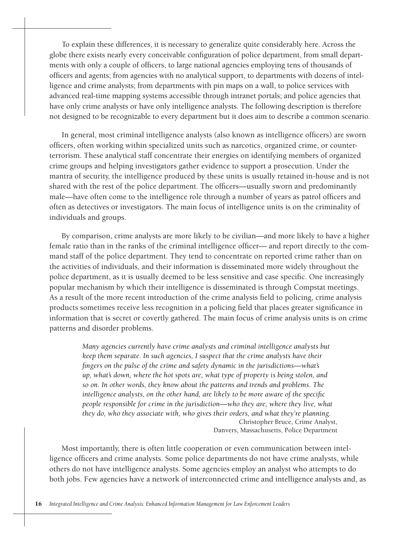To explain these differences, it is necessary to generalize quite considerably here. Across the globe there exists nearly every conceivable configuration of police department, from small departments with only a couple of officers, to large national agencies employing tens of thousands of officers and agents; from agencies with no analytical support, to departments with dozens of intelligence and crime analysts; from departments with pin maps on a wall, to police services with advanced real-time mapping systems accessible through intranet portals; and police agencies that have only crime analysts or have only intelligence analysts. The following description is therefore not designed to be recognizable to every department but it does aim to describe a common scenario.

In general, most criminal intelligence analysts (also known as intelligence officers) are sworn officers, often working within specialized units such as narcotics, organized crime, or counterterrorism. These analytical staff concentrate their energies on identifying members of organized crime groups and helping investigators gather evidence to support a prosecution. Under the mantra of security, the intelligence produced by these units is usually retained in-house and is not shared with the rest of the police department. The officers—usually sworn and predominantly male—have often come to the intelligence role through a number of years as patrol officers and often as detectives or investigators. The main focus of intelligence units is on the criminality of individuals and groups.

By comparison, crime analysts are more likely to be civilian—and more likely to have a higher female ratio than in the ranks of the criminal intelligence officer— and report directly to the command staff of the police department. They tend to concentrate on reported crime rather than on the activities of individuals, and their information is disseminated more widely throughout the police department, as it is usually deemed to be less sensitive and case specific. One increasingly popular mechanism by which their intelligence is disseminated is through Compstat meetings. As a result of the more recent introduction of the crime analysis field to policing, crime analysis products sometimes receive less recognition in a policing field that places greater significance in information that is secret or covertly gathered. The main focus of crime analysis units is on crime patterns and disorder problems.

> *Many agencies currently have crime analysts and criminal intelligence analysts but keep them separate. In such agencies, I suspect that the crime analysts have their fingers on the pulse of the crime and safety dynamic in the jurisdictions—what's up, what's down, where the hot spots are, what type of property is being stolen, and so on. In other words, they know about the patterns and trends and problems. The intelligence analysts, on the other hand, are likely to be more aware of the specific people responsible for crime in the jurisdiction—who they are, where they live, what they do, who they associate with, who gives their orders, and what they're planning.*  Christopher Bruce, Crime Analyst, Danvers, Massachusetts, Police Department

Most importantly, there is often little cooperation or even communication between intelligence officers and crime analysts. Some police departments do not have crime analysts, while others do not have intelligence analysts. Some agencies employ an analyst who attempts to do both jobs. Few agencies have a network of interconnected crime and intelligence analysts and, as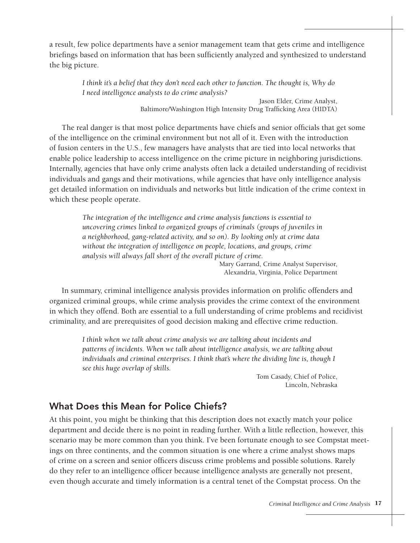a result, few police departments have a senior management team that gets crime and intelligence briefings based on information that has been sufficiently analyzed and synthesized to understand the big picture.

> *I think it's a belief that they don't need each other to function. The thought is, Why do I need intelligence analysts to do crime analysis?*

> > Jason Elder, Crime Analyst, Baltimore/Washington High Intensity Drug Trafficking Area (HIDTA)

The real danger is that most police departments have chiefs and senior officials that get some of the intelligence on the criminal environment but not all of it. Even with the introduction of fusion centers in the U.S., few managers have analysts that are tied into local networks that enable police leadership to access intelligence on the crime picture in neighboring jurisdictions. Internally, agencies that have only crime analysts often lack a detailed understanding of recidivist individuals and gangs and their motivations, while agencies that have only intelligence analysis get detailed information on individuals and networks but little indication of the crime context in which these people operate.

> *The integration of the intelligence and crime analysis functions is essential to uncovering crimes linked to organized groups of criminals (groups of juveniles in a neighborhood, gang-related activity, and so on). By looking only at crime data without the integration of intelligence on people, locations, and groups, crime analysis will always fall short of the overall picture of crime.*

Mary Garrand, Crime Analyst Supervisor, Alexandria, Virginia, Police Department

In summary, criminal intelligence analysis provides information on prolific offenders and organized criminal groups, while crime analysis provides the crime context of the environment in which they offend. Both are essential to a full understanding of crime problems and recidivist criminality, and are prerequisites of good decision making and effective crime reduction.

> *I think when we talk about crime analysis we are talking about incidents and patterns of incidents. When we talk about intelligence analysis, we are talking about*  individuals and criminal enterprises. I think that's where the dividing line is, though I *see this huge overlap of skills.*

> > Tom Casady, Chief of Police, Lincoln, Nebraska

#### What Does this Mean for Police Chiefs?

At this point, you might be thinking that this description does not exactly match your police department and decide there is no point in reading further. With a little reflection, however, this scenario may be more common than you think. I've been fortunate enough to see Compstat meetings on three continents, and the common situation is one where a crime analyst shows maps of crime on a screen and senior officers discuss crime problems and possible solutions. Rarely do they refer to an intelligence officer because intelligence analysts are generally not present, even though accurate and timely information is a central tenet of the Compstat process. On the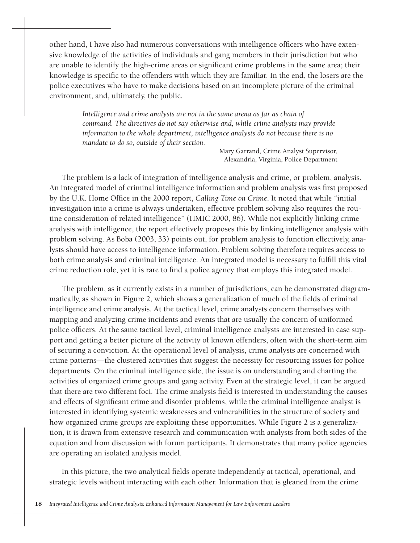other hand, I have also had numerous conversations with intelligence officers who have extensive knowledge of the activities of individuals and gang members in their jurisdiction but who are unable to identify the high-crime areas or significant crime problems in the same area; their knowledge is specific to the offenders with which they are familiar. In the end, the losers are the police executives who have to make decisions based on an incomplete picture of the criminal environment, and, ultimately, the public.

> Intelligence and crime analysts are not in the same arena as far as chain of *command. The directives do not say otherwise and, while crime analysts may provide information to the whole department, intelligence analysts do not because there is no mandate to do so, outside of their section.*

> > Mary Garrand, Crime Analyst Supervisor, Alexandria, Virginia, Police Department

The problem is a lack of integration of intelligence analysis and crime, or problem, analysis. An integrated model of criminal intelligence information and problem analysis was first proposed by the U.K. Home Office in the 2000 report, *Calling Time on Crime*. It noted that while "initial investigation into a crime is always undertaken, effective problem solving also requires the routine consideration of related intelligence" (HMIC 2000, 86). While not explicitly linking crime analysis with intelligence, the report effectively proposes this by linking intelligence analysis with problem solving. As Boba (2003, 33) points out, for problem analysis to function effectively, analysts should have access to intelligence information. Problem solving therefore requires access to both crime analysis and criminal intelligence. An integrated model is necessary to fulfill this vital crime reduction role, yet it is rare to find a police agency that employs this integrated model.

The problem, as it currently exists in a number of jurisdictions, can be demonstrated diagrammatically, as shown in Figure 2, which shows a generalization of much of the fields of criminal intelligence and crime analysis. At the tactical level, crime analysts concern themselves with mapping and analyzing crime incidents and events that are usually the concern of uniformed police officers. At the same tactical level, criminal intelligence analysts are interested in case support and getting a better picture of the activity of known offenders, often with the short-term aim of securing a conviction. At the operational level of analysis, crime analysts are concerned with crime patterns—the clustered activities that suggest the necessity for resourcing issues for police departments. On the criminal intelligence side, the issue is on understanding and charting the activities of organized crime groups and gang activity. Even at the strategic level, it can be argued that there are two different foci. The crime analysis field is interested in understanding the causes and effects of significant crime and disorder problems, while the criminal intelligence analyst is interested in identifying systemic weaknesses and vulnerabilities in the structure of society and how organized crime groups are exploiting these opportunities. While Figure 2 is a generalization, it is drawn from extensive research and communication with analysts from both sides of the equation and from discussion with forum participants. It demonstrates that many police agencies are operating an isolated analysis model.

In this picture, the two analytical fields operate independently at tactical, operational, and strategic levels without interacting with each other. Information that is gleaned from the crime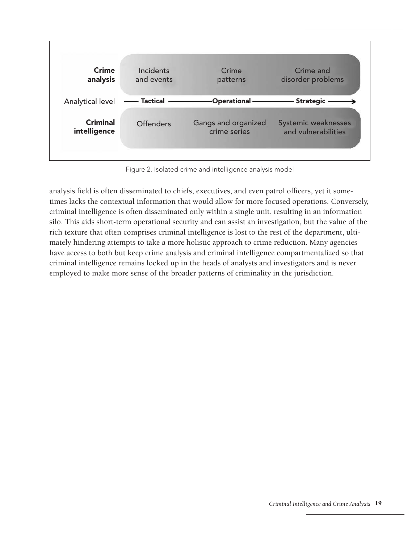

Figure 2. Isolated crime and intelligence analysis model

analysis field is often disseminated to chiefs, executives, and even patrol officers, yet it sometimes lacks the contextual information that would allow for more focused operations. Conversely, criminal intelligence is often disseminated only within a single unit, resulting in an information silo. This aids short-term operational security and can assist an investigation, but the value of the rich texture that often comprises criminal intelligence is lost to the rest of the department, ultimately hindering attempts to take a more holistic approach to crime reduction. Many agencies have access to both but keep crime analysis and criminal intelligence compartmentalized so that criminal intelligence remains locked up in the heads of analysts and investigators and is never employed to make more sense of the broader patterns of criminality in the jurisdiction.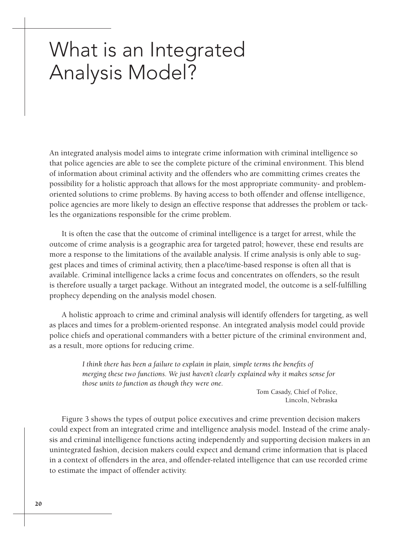### What is an Integrated Analysis Model?

An integrated analysis model aims to integrate crime information with criminal intelligence so that police agencies are able to see the complete picture of the criminal environment. This blend of information about criminal activity and the offenders who are committing crimes creates the possibility for a holistic approach that allows for the most appropriate community- and problemoriented solutions to crime problems. By having access to both offender and offense intelligence, police agencies are more likely to design an effective response that addresses the problem or tackles the organizations responsible for the crime problem.

It is often the case that the outcome of criminal intelligence is a target for arrest, while the outcome of crime analysis is a geographic area for targeted patrol; however, these end results are more a response to the limitations of the available analysis. If crime analysis is only able to suggest places and times of criminal activity, then a place/time-based response is often all that is available. Criminal intelligence lacks a crime focus and concentrates on offenders, so the result is therefore usually a target package. Without an integrated model, the outcome is a self-fulfilling prophecy depending on the analysis model chosen.

A holistic approach to crime and criminal analysis will identify offenders for targeting, as well as places and times for a problem-oriented response. An integrated analysis model could provide police chiefs and operational commanders with a better picture of the criminal environment and, as a result, more options for reducing crime.

> *I think there has been a failure to explain in plain, simple terms the benefits of merging these two functions. We just haven't clearly explained why it makes sense for those units to function as though they were one.*

Tom Casady, Chief of Police, Lincoln, Nebraska

Figure 3 shows the types of output police executives and crime prevention decision makers could expect from an integrated crime and intelligence analysis model. Instead of the crime analysis and criminal intelligence functions acting independently and supporting decision makers in an unintegrated fashion, decision makers could expect and demand crime information that is placed in a context of offenders in the area, and offender-related intelligence that can use recorded crime to estimate the impact of offender activity.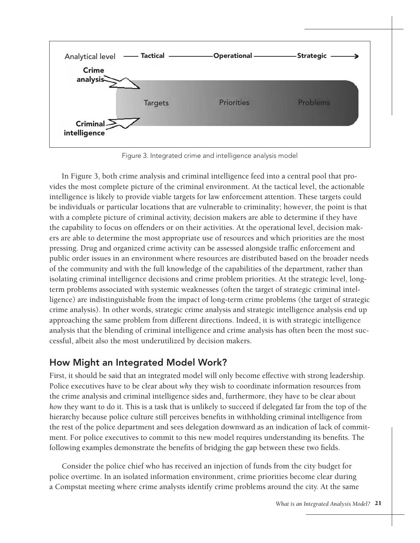

Figure 3. Integrated crime and intelligence analysis model

In Figure 3, both crime analysis and criminal intelligence feed into a central pool that provides the most complete picture of the criminal environment. At the tactical level, the actionable intelligence is likely to provide viable targets for law enforcement attention. These targets could be individuals or particular locations that are vulnerable to criminality; however, the point is that with a complete picture of criminal activity, decision makers are able to determine if they have the capability to focus on offenders or on their activities. At the operational level, decision makers are able to determine the most appropriate use of resources and which priorities are the most pressing. Drug and organized crime activity can be assessed alongside traffic enforcement and public order issues in an environment where resources are distributed based on the broader needs of the community and with the full knowledge of the capabilities of the department, rather than isolating criminal intelligence decisions and crime problem priorities. At the strategic level, longterm problems associated with systemic weaknesses (often the target of strategic criminal intelligence) are indistinguishable from the impact of long-term crime problems (the target of strategic crime analysis). In other words, strategic crime analysis and strategic intelligence analysis end up approaching the same problem from different directions. Indeed, it is with strategic intelligence analysis that the blending of criminal intelligence and crime analysis has often been the most successful, albeit also the most underutilized by decision makers.

#### How Might an Integrated Model Work?

First, it should be said that an integrated model will only become effective with strong leadership. Police executives have to be clear about *why* they wish to coordinate information resources from the crime analysis and criminal intelligence sides and, furthermore, they have to be clear about *how* they want to do it. This is a task that is unlikely to succeed if delegated far from the top of the hierarchy because police culture still perceives benefits in withholding criminal intelligence from the rest of the police department and sees delegation downward as an indication of lack of commitment. For police executives to commit to this new model requires understanding its benefits. The following examples demonstrate the benefits of bridging the gap between these two fields.

Consider the police chief who has received an injection of funds from the city budget for police overtime. In an isolated information environment, crime priorities become clear during a Compstat meeting where crime analysts identify crime problems around the city. At the same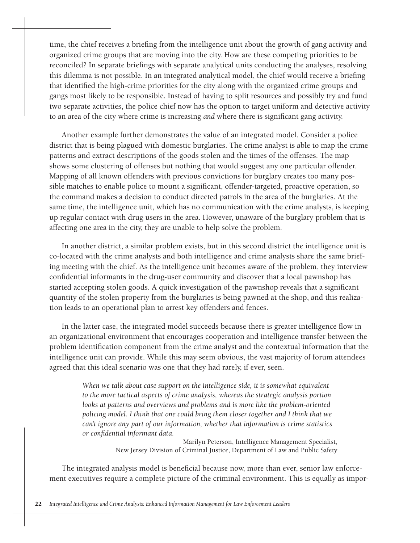time, the chief receives a briefing from the intelligence unit about the growth of gang activity and organized crime groups that are moving into the city. How are these competing priorities to be reconciled? In separate briefings with separate analytical units conducting the analyses, resolving this dilemma is not possible. In an integrated analytical model, the chief would receive a briefing that identified the high-crime priorities for the city along with the organized crime groups and gangs most likely to be responsible. Instead of having to split resources and possibly try and fund two separate activities, the police chief now has the option to target uniform and detective activity to an area of the city where crime is increasing *and* where there is significant gang activity.

Another example further demonstrates the value of an integrated model. Consider a police district that is being plagued with domestic burglaries. The crime analyst is able to map the crime patterns and extract descriptions of the goods stolen and the times of the offenses. The map shows some clustering of offenses but nothing that would suggest any one particular offender. Mapping of all known offenders with previous convictions for burglary creates too many possible matches to enable police to mount a significant, offender-targeted, proactive operation, so the command makes a decision to conduct directed patrols in the area of the burglaries. At the same time, the intelligence unit, which has no communication with the crime analysts, is keeping up regular contact with drug users in the area. However, unaware of the burglary problem that is affecting one area in the city, they are unable to help solve the problem.

In another district, a similar problem exists, but in this second district the intelligence unit is co-located with the crime analysts and both intelligence and crime analysts share the same briefing meeting with the chief. As the intelligence unit becomes aware of the problem, they interview confidential informants in the drug-user community and discover that a local pawnshop has started accepting stolen goods. A quick investigation of the pawnshop reveals that a significant quantity of the stolen property from the burglaries is being pawned at the shop, and this realization leads to an operational plan to arrest key offenders and fences.

In the latter case, the integrated model succeeds because there is greater intelligence flow in an organizational environment that encourages cooperation and intelligence transfer between the problem identification component from the crime analyst and the contextual information that the intelligence unit can provide. While this may seem obvious, the vast majority of forum attendees agreed that this ideal scenario was one that they had rarely, if ever, seen.

> *When we talk about case support on the intelligence side, it is somewhat equivalent to the more tactical aspects of crime analysis, whereas the strategic analysis portion looks at patterns and overviews and problems and is more like the problem-oriented policing model. I think that one could bring them closer together and I think that we can't ignore any part of our information, whether that information is crime statistics or confidential informant data.*

> > Marilyn Peterson, Intelligence Management Specialist, New Jersey Division of Criminal Justice, Department of Law and Public Safety

The integrated analysis model is beneficial because now, more than ever, senior law enforcement executives require a complete picture of the criminal environment. This is equally as impor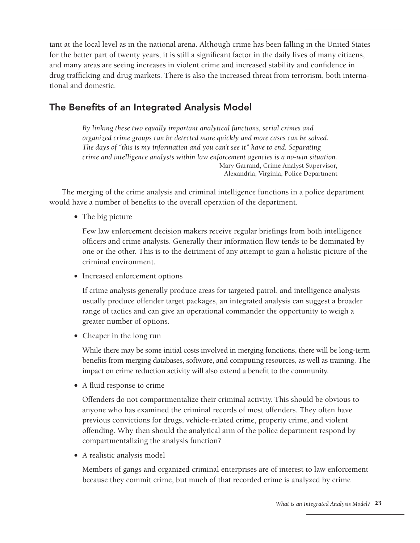tant at the local level as in the national arena. Although crime has been falling in the United States for the better part of twenty years, it is still a significant factor in the daily lives of many citizens, and many areas are seeing increases in violent crime and increased stability and confidence in drug trafficking and drug markets. There is also the increased threat from terrorism, both international and domestic.

#### The Benefits of an Integrated Analysis Model

*By linking these two equally important analytical functions, serial crimes and organized crime groups can be detected more quickly and more cases can be solved. The days of "this is my information and you can't see it" have to end. Separating crime and intelligence analysts within law enforcement agencies is a no-win situation.*  Mary Garrand, Crime Analyst Supervisor, Alexandria, Virginia, Police Department

The merging of the crime analysis and criminal intelligence functions in a police department would have a number of benefits to the overall operation of the department.

• The big picture

Few law enforcement decision makers receive regular briefings from both intelligence officers and crime analysts. Generally their information flow tends to be dominated by one or the other. This is to the detriment of any attempt to gain a holistic picture of the criminal environment.

• Increased enforcement options

If crime analysts generally produce areas for targeted patrol, and intelligence analysts usually produce offender target packages, an integrated analysis can suggest a broader range of tactics and can give an operational commander the opportunity to weigh a greater number of options.

• Cheaper in the long run

While there may be some initial costs involved in merging functions, there will be long-term benefits from merging databases, software, and computing resources, as well as training. The impact on crime reduction activity will also extend a benefit to the community.

• A fluid response to crime

Offenders do not compartmentalize their criminal activity. This should be obvious to anyone who has examined the criminal records of most offenders. They often have previous convictions for drugs, vehicle-related crime, property crime, and violent offending. Why then should the analytical arm of the police department respond by compartmentalizing the analysis function?

• A realistic analysis model

Members of gangs and organized criminal enterprises are of interest to law enforcement because they commit crime, but much of that recorded crime is analyzed by crime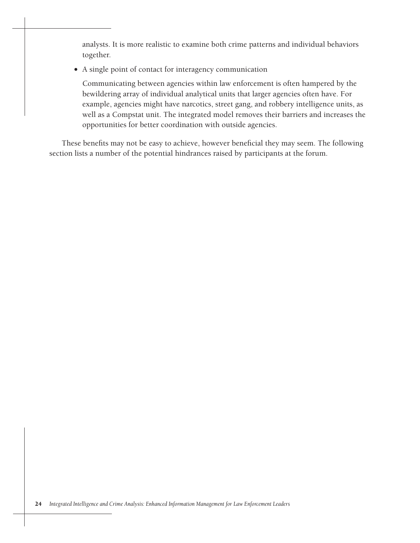analysts. It is more realistic to examine both crime patterns and individual behaviors together.

• A single point of contact for interagency communication

Communicating between agencies within law enforcement is often hampered by the bewildering array of individual analytical units that larger agencies often have. For example, agencies might have narcotics, street gang, and robbery intelligence units, as well as a Compstat unit. The integrated model removes their barriers and increases the opportunities for better coordination with outside agencies.

These benefits may not be easy to achieve, however beneficial they may seem. The following section lists a number of the potential hindrances raised by participants at the forum.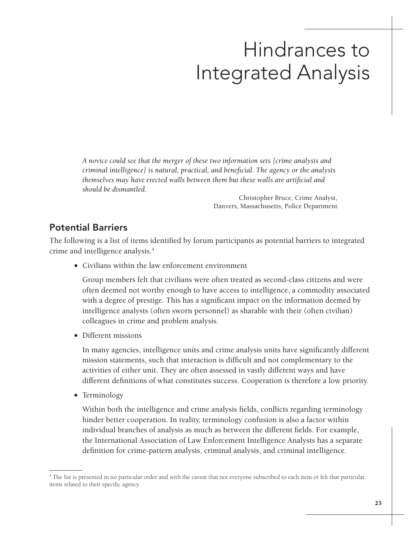# Hindrances to Integrated Analysis

*A novice could see that the merger of these two information sets [crime analysis and criminal intelligence] is natural, practical, and beneficial. The agency or the analysts themselves may have erected walls between them but these walls are artificial and should be dismantled.*

> Christopher Bruce, Crime Analyst, Danvers, Massachusetts, Police Department

#### Potential Barriers

The following is a list of items identified by forum participants as potential barriers to integrated crime and intelligence analysis.4

• Civilians within the law enforcement environment

Group members felt that civilians were often treated as second-class citizens and were often deemed not worthy enough to have access to intelligence, a commodity associated with a degree of prestige. This has a significant impact on the information deemed by intelligence analysts (often sworn personnel) as sharable with their (often civilian) colleagues in crime and problem analysis.

• Different missions

In many agencies, intelligence units and crime analysis units have significantly different mission statements, such that interaction is difficult and not complementary to the activities of either unit. They are often assessed in vastly different ways and have different definitions of what constitutes success. Cooperation is therefore a low priority.

• Terminology

Within both the intelligence and crime analysis fields, conflicts regarding terminology hinder better cooperation. In reality, terminology confusion is also a factor within individual branches of analysis as much as between the different fields. For example, the International Association of Law Enforcement Intelligence Analysts has a separate definition for crime-pattern analysis, criminal analysis, and criminal intelligence.

<sup>4</sup> The list is presented in no particular order and with the caveat that not everyone subscribed to each item or felt that particular items related to their specific agency.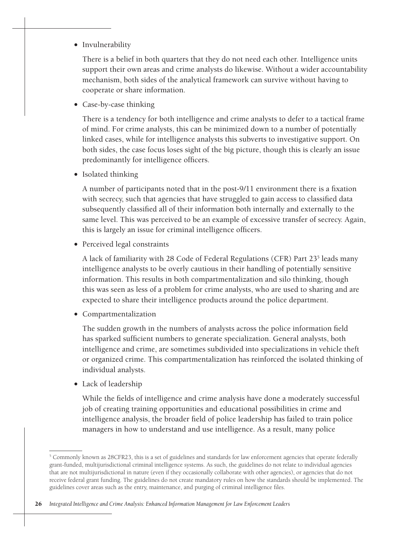#### • Invulnerability

There is a belief in both quarters that they do not need each other. Intelligence units support their own areas and crime analysts do likewise. Without a wider accountability mechanism, both sides of the analytical framework can survive without having to cooperate or share information.

• Case-by-case thinking

There is a tendency for both intelligence and crime analysts to defer to a tactical frame of mind. For crime analysts, this can be minimized down to a number of potentially linked cases, while for intelligence analysts this subverts to investigative support. On both sides, the case focus loses sight of the big picture, though this is clearly an issue predominantly for intelligence officers.

• Isolated thinking

A number of participants noted that in the post-9/11 environment there is a fixation with secrecy, such that agencies that have struggled to gain access to classified data subsequently classified all of their information both internally and externally to the same level. This was perceived to be an example of excessive transfer of secrecy. Again, this is largely an issue for criminal intelligence officers.

• Perceived legal constraints

A lack of familiarity with 28 Code of Federal Regulations (CFR) Part 23<sup>5</sup> leads many intelligence analysts to be overly cautious in their handling of potentially sensitive information. This results in both compartmentalization and silo thinking, though this was seen as less of a problem for crime analysts, who are used to sharing and are expected to share their intelligence products around the police department.

• Compartmentalization

The sudden growth in the numbers of analysts across the police information field has sparked sufficient numbers to generate specialization. General analysts, both intelligence and crime, are sometimes subdivided into specializations in vehicle theft or organized crime. This compartmentalization has reinforced the isolated thinking of individual analysts.

• Lack of leadership

While the fields of intelligence and crime analysis have done a moderately successful job of creating training opportunities and educational possibilities in crime and intelligence analysis, the broader field of police leadership has failed to train police managers in how to understand and use intelligence. As a result, many police

<sup>&</sup>lt;sup>5</sup> Commonly known as 28CFR23, this is a set of guidelines and standards for law enforcement agencies that operate federally grant-funded, multijurisdictional criminal intelligence systems. As such, the guidelines do not relate to individual agencies that are not multijurisdictional in nature (even if they occasionally collaborate with other agencies), or agencies that do not receive federal grant funding. The guidelines do not create mandatory rules on how the standards should be implemented. The guidelines cover areas such as the entry, maintenance, and purging of criminal intelligence files.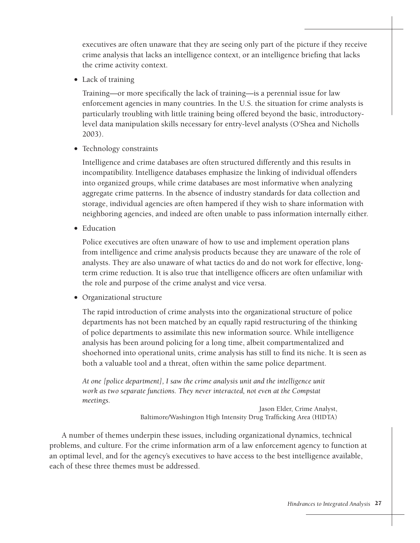executives are often unaware that they are seeing only part of the picture if they receive crime analysis that lacks an intelligence context, or an intelligence briefing that lacks the crime activity context.

• Lack of training

Training—or more specifically the lack of training—is a perennial issue for law enforcement agencies in many countries. In the U.S. the situation for crime analysts is particularly troubling with little training being offered beyond the basic, introductorylevel data manipulation skills necessary for entry-level analysts (O'Shea and Nicholls 2003).

• Technology constraints

Intelligence and crime databases are often structured differently and this results in incompatibility. Intelligence databases emphasize the linking of individual offenders into organized groups, while crime databases are most informative when analyzing aggregate crime patterns. In the absence of industry standards for data collection and storage, individual agencies are often hampered if they wish to share information with neighboring agencies, and indeed are often unable to pass information internally either.

• Education

Police executives are often unaware of how to use and implement operation plans from intelligence and crime analysis products because they are unaware of the role of analysts. They are also unaware of what tactics do and do not work for effective, longterm crime reduction. It is also true that intelligence officers are often unfamiliar with the role and purpose of the crime analyst and vice versa.

• Organizational structure

The rapid introduction of crime analysts into the organizational structure of police departments has not been matched by an equally rapid restructuring of the thinking of police departments to assimilate this new information source. While intelligence analysis has been around policing for a long time, albeit compartmentalized and shoehorned into operational units, crime analysis has still to find its niche. It is seen as both a valuable tool and a threat, often within the same police department.

*At one [police department], I saw the crime analysis unit and the intelligence unit work as two separate functions. They never interacted, not even at the Compstat meetings.*

> Jason Elder, Crime Analyst, Baltimore/Washington High Intensity Drug Trafficking Area (HIDTA)

A number of themes underpin these issues, including organizational dynamics, technical problems, and culture. For the crime information arm of a law enforcement agency to function at an optimal level, and for the agency's executives to have access to the best intelligence available, each of these three themes must be addressed.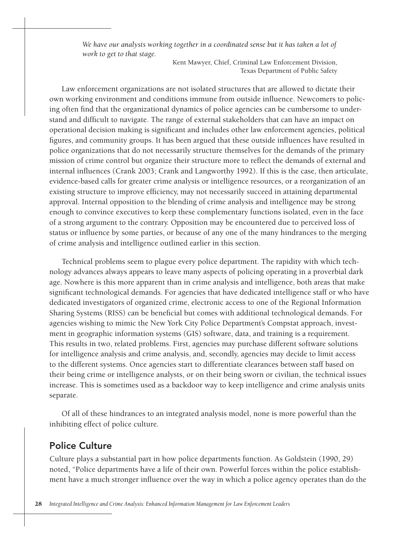We have our analysts working together in a coordinated sense but it has taken a lot of *work to get to that stage.* 

> Kent Mawyer, Chief, Criminal Law Enforcement Division, Texas Department of Public Safety

Law enforcement organizations are not isolated structures that are allowed to dictate their own working environment and conditions immune from outside influence. Newcomers to policing often find that the organizational dynamics of police agencies can be cumbersome to understand and difficult to navigate. The range of external stakeholders that can have an impact on operational decision making is significant and includes other law enforcement agencies, political figures, and community groups. It has been argued that these outside influences have resulted in police organizations that do not necessarily structure themselves for the demands of the primary mission of crime control but organize their structure more to reflect the demands of external and internal influences (Crank 2003; Crank and Langworthy 1992). If this is the case, then articulate, evidence-based calls for greater crime analysis or intelligence resources, or a reorganization of an existing structure to improve efficiency, may not necessarily succeed in attaining departmental approval. Internal opposition to the blending of crime analysis and intelligence may be strong enough to convince executives to keep these complementary functions isolated, even in the face of a strong argument to the contrary. Opposition may be encountered due to perceived loss of status or influence by some parties, or because of any one of the many hindrances to the merging of crime analysis and intelligence outlined earlier in this section.

Technical problems seem to plague every police department. The rapidity with which technology advances always appears to leave many aspects of policing operating in a proverbial dark age. Nowhere is this more apparent than in crime analysis and intelligence, both areas that make significant technological demands. For agencies that have dedicated intelligence staff or who have dedicated investigators of organized crime, electronic access to one of the Regional Information Sharing Systems (RISS) can be beneficial but comes with additional technological demands. For agencies wishing to mimic the New York City Police Department's Compstat approach, investment in geographic information systems (GIS) software, data, and training is a requirement. This results in two, related problems. First, agencies may purchase different software solutions for intelligence analysis and crime analysis, and, secondly, agencies may decide to limit access to the different systems. Once agencies start to differentiate clearances between staff based on their being crime or intelligence analysts, or on their being sworn or civilian, the technical issues increase. This is sometimes used as a backdoor way to keep intelligence and crime analysis units separate.

Of all of these hindrances to an integrated analysis model, none is more powerful than the inhibiting effect of police culture.

#### Police Culture

Culture plays a substantial part in how police departments function. As Goldstein (1990, 29) noted, "Police departments have a life of their own. Powerful forces within the police establishment have a much stronger influence over the way in which a police agency operates than do the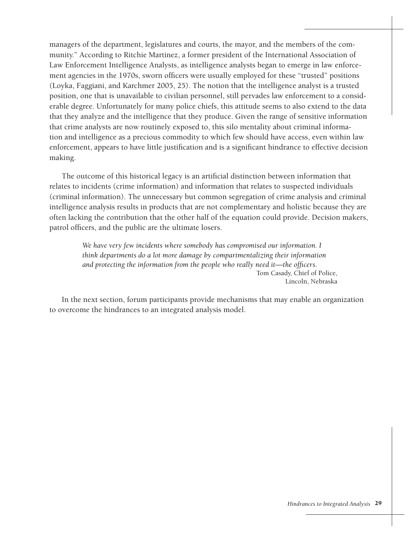managers of the department, legislatures and courts, the mayor, and the members of the community." According to Ritchie Martinez, a former president of the International Association of Law Enforcement Intelligence Analysts, as intelligence analysts began to emerge in law enforcement agencies in the 1970s, sworn officers were usually employed for these "trusted" positions (Loyka, Faggiani, and Karchmer 2005, 25). The notion that the intelligence analyst is a trusted position, one that is unavailable to civilian personnel, still pervades law enforcement to a considerable degree. Unfortunately for many police chiefs, this attitude seems to also extend to the data that they analyze and the intelligence that they produce. Given the range of sensitive information that crime analysts are now routinely exposed to, this silo mentality about criminal information and intelligence as a precious commodity to which few should have access, even within law enforcement, appears to have little justification and is a significant hindrance to effective decision making.

The outcome of this historical legacy is an artificial distinction between information that relates to incidents (crime information) and information that relates to suspected individuals (criminal information). The unnecessary but common segregation of crime analysis and criminal intelligence analysis results in products that are not complementary and holistic because they are often lacking the contribution that the other half of the equation could provide. Decision makers, patrol officers, and the public are the ultimate losers.

> We have very few incidents where somebody has compromised our information. I *think departments do a lot more damage by compartmentalizing their information and protecting the information from the people who really need it—the officers.* Tom Casady, Chief of Police, Lincoln, Nebraska

In the next section, forum participants provide mechanisms that may enable an organization to overcome the hindrances to an integrated analysis model.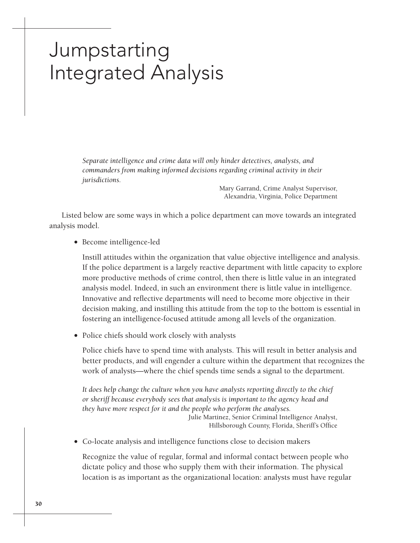### Jumpstarting Integrated Analysis

*Separate intelligence and crime data will only hinder detectives, analysts, and commanders from making informed decisions regarding criminal activity in their jurisdictions.*

> Mary Garrand, Crime Analyst Supervisor, Alexandria, Virginia, Police Department

Listed below are some ways in which a police department can move towards an integrated analysis model.

• Become intelligence-led

Instill attitudes within the organization that value objective intelligence and analysis. If the police department is a largely reactive department with little capacity to explore more productive methods of crime control, then there is little value in an integrated analysis model. Indeed, in such an environment there is little value in intelligence. Innovative and reflective departments will need to become more objective in their decision making, and instilling this attitude from the top to the bottom is essential in fostering an intelligence-focused attitude among all levels of the organization.

• Police chiefs should work closely with analysts

Police chiefs have to spend time with analysts. This will result in better analysis and better products, and will engender a culture within the department that recognizes the work of analysts—where the chief spends time sends a signal to the department.

*It does help change the culture when you have analysts reporting directly to the chief or sheriff because everybody sees that analysis is important to the agency head and they have more respect for it and the people who perform the analyses.* Julie Martinez, Senior Criminal Intelligence Analyst, Hillsborough County, Florida, Sheriff's Office

• Co-locate analysis and intelligence functions close to decision makers

Recognize the value of regular, formal and informal contact between people who dictate policy and those who supply them with their information. The physical location is as important as the organizational location: analysts must have regular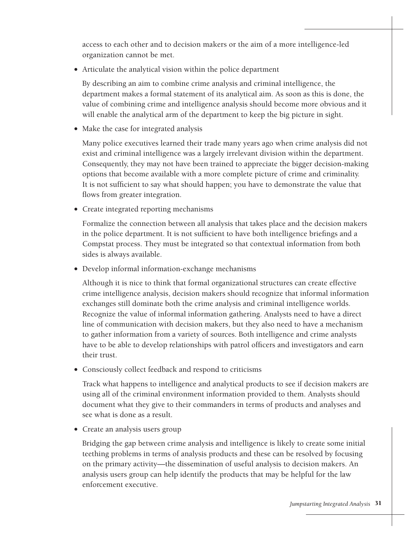access to each other and to decision makers or the aim of a more intelligence-led organization cannot be met.

• Articulate the analytical vision within the police department

By describing an aim to combine crime analysis and criminal intelligence, the department makes a formal statement of its analytical aim. As soon as this is done, the value of combining crime and intelligence analysis should become more obvious and it will enable the analytical arm of the department to keep the big picture in sight.

• Make the case for integrated analysis

Many police executives learned their trade many years ago when crime analysis did not exist and criminal intelligence was a largely irrelevant division within the department. Consequently, they may not have been trained to appreciate the bigger decision-making options that become available with a more complete picture of crime and criminality. It is not sufficient to say what should happen; you have to demonstrate the value that flows from greater integration.

• Create integrated reporting mechanisms

Formalize the connection between all analysis that takes place and the decision makers in the police department. It is not sufficient to have both intelligence briefings and a Compstat process. They must be integrated so that contextual information from both sides is always available.

• Develop informal information-exchange mechanisms

Although it is nice to think that formal organizational structures can create effective crime intelligence analysis, decision makers should recognize that informal information exchanges still dominate both the crime analysis and criminal intelligence worlds. Recognize the value of informal information gathering. Analysts need to have a direct line of communication with decision makers, but they also need to have a mechanism to gather information from a variety of sources. Both intelligence and crime analysts have to be able to develop relationships with patrol officers and investigators and earn their trust.

• Consciously collect feedback and respond to criticisms

Track what happens to intelligence and analytical products to see if decision makers are using all of the criminal environment information provided to them. Analysts should document what they give to their commanders in terms of products and analyses and see what is done as a result.

• Create an analysis users group

Bridging the gap between crime analysis and intelligence is likely to create some initial teething problems in terms of analysis products and these can be resolved by focusing on the primary activity—the dissemination of useful analysis to decision makers. An analysis users group can help identify the products that may be helpful for the law enforcement executive.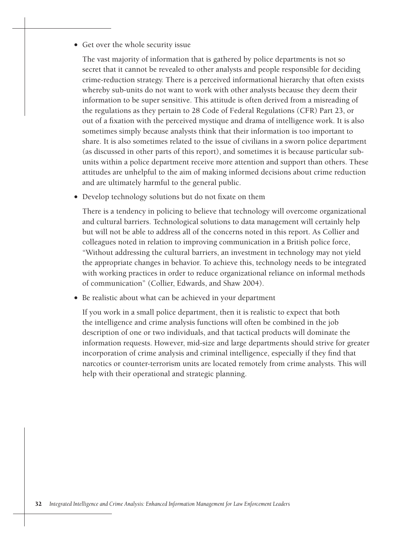#### • Get over the whole security issue

The vast majority of information that is gathered by police departments is not so secret that it cannot be revealed to other analysts and people responsible for deciding crime-reduction strategy. There is a perceived informational hierarchy that often exists whereby sub-units do not want to work with other analysts because they deem their information to be super sensitive. This attitude is often derived from a misreading of the regulations as they pertain to 28 Code of Federal Regulations (CFR) Part 23, or out of a fixation with the perceived mystique and drama of intelligence work. It is also sometimes simply because analysts think that their information is too important to share. It is also sometimes related to the issue of civilians in a sworn police department (as discussed in other parts of this report), and sometimes it is because particular subunits within a police department receive more attention and support than others. These attitudes are unhelpful to the aim of making informed decisions about crime reduction and are ultimately harmful to the general public.

• Develop technology solutions but do not fixate on them

There is a tendency in policing to believe that technology will overcome organizational and cultural barriers. Technological solutions to data management will certainly help but will not be able to address all of the concerns noted in this report. As Collier and colleagues noted in relation to improving communication in a British police force, "Without addressing the cultural barriers, an investment in technology may not yield the appropriate changes in behavior. To achieve this, technology needs to be integrated with working practices in order to reduce organizational reliance on informal methods of communication" (Collier, Edwards, and Shaw 2004).

• Be realistic about what can be achieved in your department

If you work in a small police department, then it is realistic to expect that both the intelligence and crime analysis functions will often be combined in the job description of one or two individuals, and that tactical products will dominate the information requests. However, mid-size and large departments should strive for greater incorporation of crime analysis and criminal intelligence, especially if they find that narcotics or counter-terrorism units are located remotely from crime analysts. This will help with their operational and strategic planning.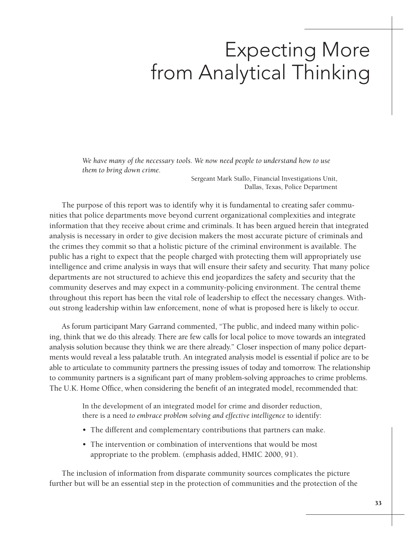### Expecting More from Analytical Thinking

*We have many of the necessary tools. We now need people to understand how to use them to bring down crime.*

> Sergeant Mark Stallo, Financial Investigations Unit, Dallas, Texas, Police Department

The purpose of this report was to identify why it is fundamental to creating safer communities that police departments move beyond current organizational complexities and integrate information that they receive about crime and criminals. It has been argued herein that integrated analysis is necessary in order to give decision makers the most accurate picture of criminals and the crimes they commit so that a holistic picture of the criminal environment is available. The public has a right to expect that the people charged with protecting them will appropriately use intelligence and crime analysis in ways that will ensure their safety and security. That many police departments are not structured to achieve this end jeopardizes the safety and security that the community deserves and may expect in a community-policing environment. The central theme throughout this report has been the vital role of leadership to effect the necessary changes. Without strong leadership within law enforcement, none of what is proposed here is likely to occur.

As forum participant Mary Garrand commented, "The public, and indeed many within policing, think that we do this already. There are few calls for local police to move towards an integrated analysis solution because they think we are there already." Closer inspection of many police departments would reveal a less palatable truth. An integrated analysis model is essential if police are to be able to articulate to community partners the pressing issues of today and tomorrow. The relationship to community partners is a significant part of many problem-solving approaches to crime problems. The U.K. Home Office, when considering the benefit of an integrated model, recommended that:

> In the development of an integrated model for crime and disorder reduction, there is a need *to embrace problem solving and effective intelligence* to identify:

- The different and complementary contributions that partners can make.
- The intervention or combination of interventions that would be most appropriate to the problem. (emphasis added, HMIC 2000, 91).

The inclusion of information from disparate community sources complicates the picture further but will be an essential step in the protection of communities and the protection of the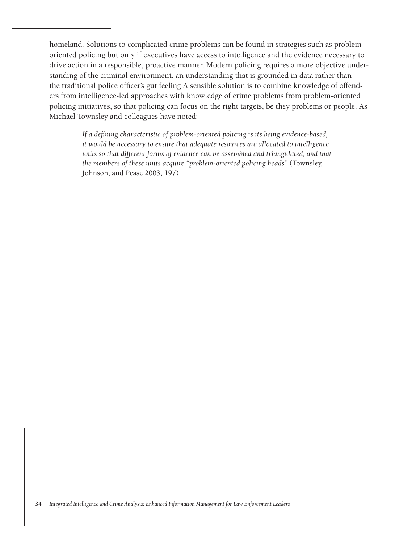homeland. Solutions to complicated crime problems can be found in strategies such as problemoriented policing but only if executives have access to intelligence and the evidence necessary to drive action in a responsible, proactive manner. Modern policing requires a more objective understanding of the criminal environment, an understanding that is grounded in data rather than the traditional police officer's gut feeling A sensible solution is to combine knowledge of offenders from intelligence-led approaches with knowledge of crime problems from problem-oriented policing initiatives, so that policing can focus on the right targets, be they problems or people. As Michael Townsley and colleagues have noted:

> *If a defining characteristic of problem-oriented policing is its being evidence-based, it would be necessary to ensure that adequate resources are allocated to intelligence units so that different forms of evidence can be assembled and triangulated, and that the members of these units acquire "problem-oriented policing heads"* (Townsley, Johnson, and Pease 2003, 197).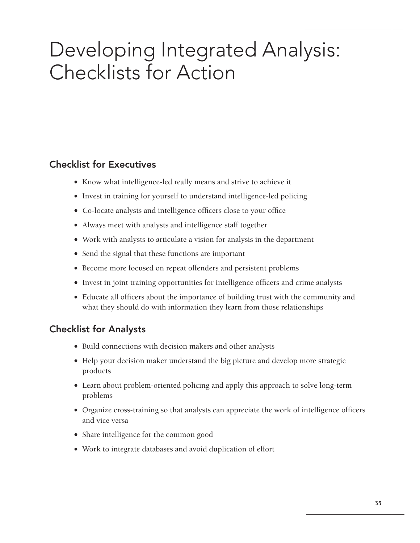# Developing Integrated Analysis: Checklists for Action

#### Checklist for Executives

- • Know what intelligence-led really means and strive to achieve it
- Invest in training for yourself to understand intelligence-led policing
- Co-locate analysts and intelligence officers close to your office
- Always meet with analysts and intelligence staff together
- Work with analysts to articulate a vision for analysis in the department
- Send the signal that these functions are important
- Become more focused on repeat offenders and persistent problems
- Invest in joint training opportunities for intelligence officers and crime analysts
- Educate all officers about the importance of building trust with the community and what they should do with information they learn from those relationships

#### Checklist for Analysts

- Build connections with decision makers and other analysts
- Help your decision maker understand the big picture and develop more strategic products
- Learn about problem-oriented policing and apply this approach to solve long-term problems
- • Organize cross-training so that analysts can appreciate the work of intelligence officers and vice versa
- Share intelligence for the common good
- • Work to integrate databases and avoid duplication of effort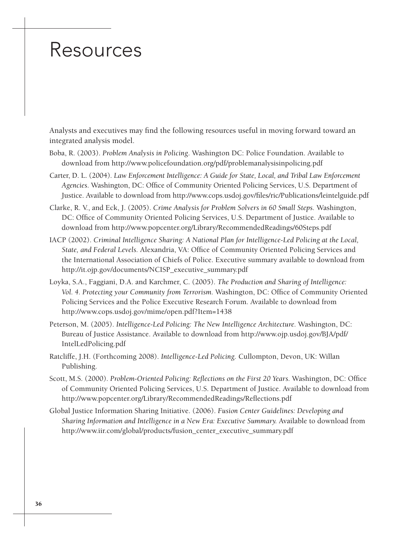### **Resources**

Analysts and executives may find the following resources useful in moving forward toward an integrated analysis model.

- Boba, R. (2003). *Problem Analysis in Policing*. Washington DC: Police Foundation. Available to download from http://www.policefoundation.org/pdf/problemanalysisinpolicing.pdf
- Carter, D. L. (2004). *Law Enforcement Intelligence: A Guide for State, Local, and Tribal Law Enforcement Agencies*. Washington, DC: Office of Community Oriented Policing Services, U.S. Department of Justice. Available to download from http://www.cops.usdoj.gov/files/ric/Publications/leintelguide.pdf
- Clarke, R. V., and Eck, J. (2005). *Crime Analysis for Problem Solvers in 60 Small Steps.* Washington, DC: Office of Community Oriented Policing Services, U.S. Department of Justice. Available to download from http://www.popcenter.org/Library/RecommendedReadings/60Steps.pdf
- IACP (2002). *Criminal Intelligence Sharing: A National Plan for Intelligence-Led Policing at the Local, State, and Federal Levels.* Alexandria, VA: Office of Community Oriented Policing Services and the International Association of Chiefs of Police. Executive summary available to download from http://it.ojp.gov/documents/NCISP\_executive\_summary.pdf
- Loyka, S.A., Faggiani, D.A. and Karchmer, C. (2005). *The Production and Sharing of Intelligence: Vol. 4. Protecting your Community from Terrorism.* Washington, DC: Office of Community Oriented Policing Services and the Police Executive Research Forum. Available to download from http://www.cops.usdoj.gov/mime/open.pdf?Item=1438
- Peterson, M. (2005). *Intelligence-Led Policing: The New Intelligence Architecture.* Washington, DC: Bureau of Justice Assistance. Available to download from http://www.ojp.usdoj.gov/BJA/pdf/ IntelLedPolicing.pdf
- Ratcliffe, J.H. (Forthcoming 2008). *Intelligence-Led Policing.* Cullompton, Devon, UK: Willan Publishing.
- Scott, M.S. (2000). *Problem-Oriented Policing: Reflections on the First 20 Years.* Washington, DC: Office of Community Oriented Policing Services, U.S. Department of Justice. Available to download from http://www.popcenter.org/Library/RecommendedReadings/Reflections.pdf
- Global Justice Information Sharing Initiative. (2006). *Fusion Center Guidelines: Developing and Sharing Information and Intelligence in a New Era: Executive Summary.* Available to download from http://www.iir.com/global/products/fusion\_center\_executive\_summary.pdf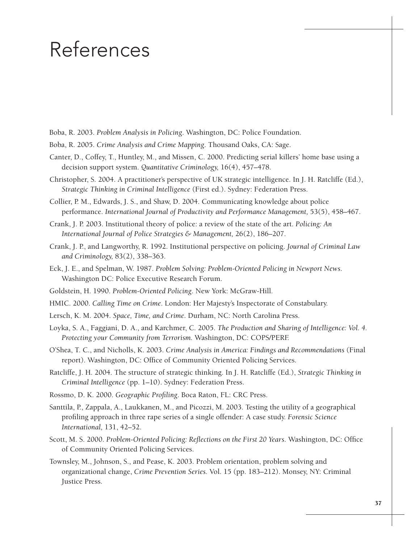### References

- Boba, R. 2003. *Problem Analysis in Policing*. Washington, DC: Police Foundation.
- Boba, R. 2005. *Crime Analysis and Crime Mapping*. Thousand Oaks, CA: Sage.
- Canter, D., Coffey, T., Huntley, M., and Missen, C. 2000. Predicting serial killers' home base using a decision support system. *Quantitative Criminology,* 16(4), 457–478.
- Christopher, S. 2004. A practitioner's perspective of UK strategic intelligence. In J. H. Ratcliffe (Ed.), *Strategic Thinking in Criminal Intelligence* (First ed.). Sydney: Federation Press.
- Collier, P. M., Edwards, J. S., and Shaw, D. 2004. Communicating knowledge about police performance. *International Journal of Productivity and Performance Management*, 53(5), 458–467.
- Crank, J. P. 2003. Institutional theory of police: a review of the state of the art. *Policing: An International Journal of Police Strategies & Management,* 26(2), 186–207.
- Crank, J. P., and Langworthy, R. 1992. Institutional perspective on policing. *Journal of Criminal Law and Criminology,* 83(2), 338–363.
- Eck, J. E., and Spelman, W. 1987. *Problem Solving: Problem-Oriented Policing in Newport News*. Washington DC: Police Executive Research Forum.
- Goldstein, H. 1990. *Problem-Oriented Policing*. New York: McGraw-Hill.
- HMIC. 2000. *Calling Time on Crime*. London: Her Majesty's Inspectorate of Constabulary.
- Lersch, K. M. 2004. *Space, Time, and Crime*. Durham, NC: North Carolina Press.
- Loyka, S. A., Faggiani, D. A., and Karchmer, C. 2005. *The Production and Sharing of Intelligence: Vol. 4. Protecting your Community from Terrorism.* Washington, DC: COPS/PERF.
- O'Shea, T. C., and Nicholls, K. 2003. *Crime Analysis in America: Findings and Recommendations* (Final report). Washington, DC: Office of Community Oriented Policing Services.
- Ratcliffe, J. H. 2004. The structure of strategic thinking. In J. H. Ratcliffe (Ed.), *Strategic Thinking in Criminal Intelligence* (pp. 1–10). Sydney: Federation Press.
- Rossmo, D. K. 2000. *Geographic Profiling*. Boca Raton, FL: CRC Press.
- Santtila, P., Zappala, A., Laukkanen, M., and Picozzi, M. 2003. Testing the utility of a geographical profiling approach in three rape series of a single offender: A case study. *Forensic Science International,* 131, 42–52.
- Scott, M. S. 2000. *Problem-Oriented Policing: Reflections on the First 20 Years*. Washington, DC: Office of Community Oriented Policing Services.
- Townsley, M., Johnson, S., and Pease, K. 2003. Problem orientation, problem solving and organizational change, *Crime Prevention Series.* Vol. 15 (pp. 183–212). Monsey, NY: Criminal Justice Press.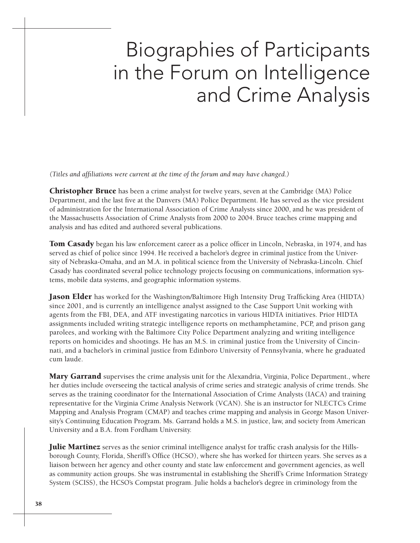# Biographies of Participants in the Forum on Intelligence and Crime Analysis

*(Titles and affiliations were current at the time of the forum and may have changed.)*

**Christopher Bruce** has been a crime analyst for twelve years, seven at the Cambridge (MA) Police Department, and the last five at the Danvers (MA) Police Department. He has served as the vice president of administration for the International Association of Crime Analysts since 2000, and he was president of the Massachusetts Association of Crime Analysts from 2000 to 2004. Bruce teaches crime mapping and analysis and has edited and authored several publications.

**Tom Casady** began his law enforcement career as a police officer in Lincoln, Nebraska, in 1974, and has served as chief of police since 1994. He received a bachelor's degree in criminal justice from the University of Nebraska-Omaha, and an M.A. in political science from the University of Nebraska-Lincoln. Chief Casady has coordinated several police technology projects focusing on communications, information systems, mobile data systems, and geographic information systems.

**Jason Elder** has worked for the Washington/Baltimore High Intensity Drug Trafficking Area (HIDTA) since 2001, and is currently an intelligence analyst assigned to the Case Support Unit working with agents from the FBI, DEA, and ATF investigating narcotics in various HIDTA initiatives. Prior HIDTA assignments included writing strategic intelligence reports on methamphetamine, PCP, and prison gang parolees, and working with the Baltimore City Police Department analyzing and writing intelligence reports on homicides and shootings. He has an M.S. in criminal justice from the University of Cincinnati, and a bachelor's in criminal justice from Edinboro University of Pennsylvania, where he graduated cum laude.

**Mary Garrand** supervises the crime analysis unit for the Alexandria, Virginia, Police Department., where her duties include overseeing the tactical analysis of crime series and strategic analysis of crime trends. She serves as the training coordinator for the International Association of Crime Analysts (IACA) and training representative for the Virginia Crime Analysis Network (VCAN). She is an instructor for NLECTC's Crime Mapping and Analysis Program (CMAP) and teaches crime mapping and analysis in George Mason University's Continuing Education Program. Ms. Garrand holds a M.S. in justice, law, and society from American University and a B.A. from Fordham University.

**Julie Martinez** serves as the senior criminal intelligence analyst for traffic crash analysis for the Hillsborough County, Florida, Sheriff's Office (HCSO), where she has worked for thirteen years. She serves as a liaison between her agency and other county and state law enforcement and government agencies, as well as community action groups. She was instrumental in establishing the Sheriff's Crime Information Strategy System (SCISS), the HCSO's Compstat program. Julie holds a bachelor's degree in criminology from the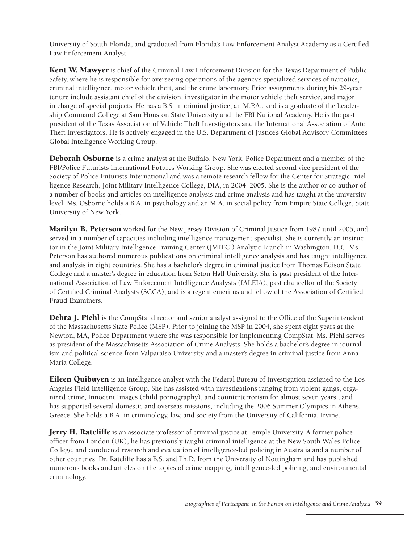University of South Florida, and graduated from Florida's Law Enforcement Analyst Academy as a Certified Law Enforcement Analyst.

**Kent W. Mawyer** is chief of the Criminal Law Enforcement Division for the Texas Department of Public Safety, where he is responsible for overseeing operations of the agency's specialized services of narcotics, criminal intelligence, motor vehicle theft, and the crime laboratory. Prior assignments during his 29-year tenure include assistant chief of the division, investigator in the motor vehicle theft service, and major in charge of special projects. He has a B.S. in criminal justice, an M.P.A., and is a graduate of the Leadership Command College at Sam Houston State University and the FBI National Academy. He is the past president of the Texas Association of Vehicle Theft Investigators and the International Association of Auto Theft Investigators. He is actively engaged in the U.S. Department of Justice's Global Advisory Committee's Global Intelligence Working Group.

**Deborah Osborne** is a crime analyst at the Buffalo, New York, Police Department and a member of the FBI/Police Futurists International Futures Working Group. She was elected second vice president of the Society of Police Futurists International and was a remote research fellow for the Center for Strategic Intelligence Research, Joint Military Intelligence College, DIA, in 2004–2005. She is the author or co-author of a number of books and articles on intelligence analysis and crime analysis and has taught at the university level. Ms. Osborne holds a B.A. in psychology and an M.A. in social policy from Empire State College, State University of New York.

**Marilyn B. Peterson** worked for the New Jersey Division of Criminal Justice from 1987 until 2005, and served in a number of capacities including intelligence management specialist. She is currently an instructor in the Joint Military Intelligence Training Center (JMITC ) Analytic Branch in Washington, D.C. Ms. Peterson has authored numerous publications on criminal intelligence analysis and has taught intelligence and analysis in eight countries. She has a bachelor's degree in criminal justice from Thomas Edison State College and a master's degree in education from Seton Hall University. She is past president of the International Association of Law Enforcement Intelligence Analysts (IALEIA), past chancellor of the Society of Certified Criminal Analysts (SCCA), and is a regent emeritus and fellow of the Association of Certified Fraud Examiners.

**Debra J. Piehl** is the CompStat director and senior analyst assigned to the Office of the Superintendent of the Massachusetts State Police (MSP). Prior to joining the MSP in 2004, she spent eight years at the Newton, MA, Police Department where she was responsible for implementing CompStat. Ms. Piehl serves as president of the Massachusetts Association of Crime Analysts. She holds a bachelor's degree in journalism and political science from Valparaiso University and a master's degree in criminal justice from Anna Maria College.

**Eileen Quibuyen** is an intelligence analyst with the Federal Bureau of Investigation assigned to the Los Angeles Field Intelligence Group. She has assisted with investigations ranging from violent gangs, organized crime, Innocent Images (child pornography), and counterterrorism for almost seven years., and has supported several domestic and overseas missions, including the 2006 Summer Olympics in Athens, Greece. She holds a B.A. in criminology, law, and society from the University of California, Irvine.

**Jerry H. Ratcliffe** is an associate professor of criminal justice at Temple University. A former police officer from London (UK), he has previously taught criminal intelligence at the New South Wales Police College, and conducted research and evaluation of intelligence-led policing in Australia and a number of other countries. Dr. Ratcliffe has a B.S. and Ph.D. from the University of Nottingham and has published numerous books and articles on the topics of crime mapping, intelligence-led policing, and environmental criminology.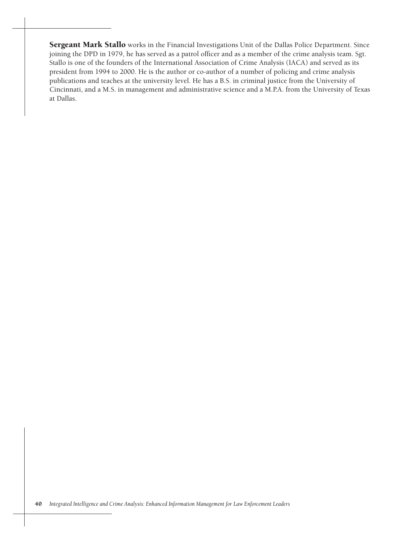Sergeant Mark Stallo works in the Financial Investigations Unit of the Dallas Police Department. Since joining the DPD in 1979, he has served as a patrol officer and as a member of the crime analysis team. Sgt. Stallo is one of the founders of the International Association of Crime Analysis (IACA) and served as its president from 1994 to 2000. He is the author or co-author of a number of policing and crime analysis publications and teaches at the university level. He has a B.S. in criminal justice from the University of Cincinnati, and a M.S. in management and administrative science and a M.P.A. from the University of Texas at Dallas.